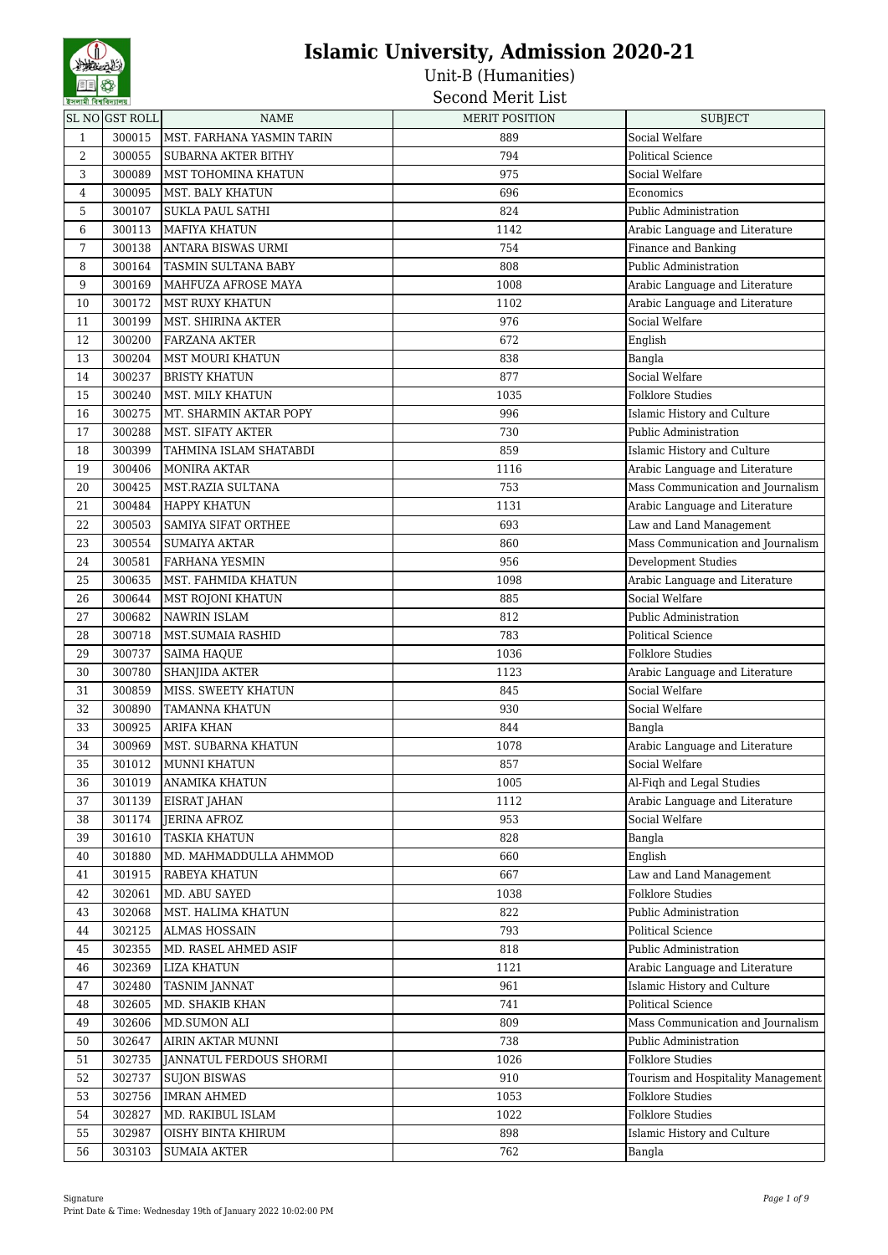| <b>SAMINE IN SINATURE</b> | SL NOGST ROLL | <b>NAME</b>                | <b>MERIT POSITION</b> | <b>SUBJECT</b>                     |
|---------------------------|---------------|----------------------------|-----------------------|------------------------------------|
| $\mathbf{1}$              | 300015        | MST. FARHANA YASMIN TARIN  | 889                   | Social Welfare                     |
| 2                         | 300055        | <b>SUBARNA AKTER BITHY</b> | 794                   | <b>Political Science</b>           |
| 3                         | 300089        |                            | 975                   |                                    |
|                           | 300095        | MST TOHOMINA KHATUN        | 696                   | Social Welfare                     |
| $\overline{4}$            |               | MST. BALY KHATUN           |                       | Economics                          |
| 5                         | 300107        | <b>SUKLA PAUL SATHI</b>    | 824                   | Public Administration              |
| 6                         | 300113        | <b>MAFIYA KHATUN</b>       | 1142                  | Arabic Language and Literature     |
| 7                         | 300138        | ANTARA BISWAS URMI         | 754                   | Finance and Banking                |
| 8                         | 300164        | <b>TASMIN SULTANA BABY</b> | 808                   | Public Administration              |
| 9                         | 300169        | MAHFUZA AFROSE MAYA        | 1008                  | Arabic Language and Literature     |
| 10                        | 300172        | MST RUXY KHATUN            | 1102                  | Arabic Language and Literature     |
| 11                        | 300199        | MST. SHIRINA AKTER         | 976                   | Social Welfare                     |
| 12                        | 300200        | <b>FARZANA AKTER</b>       | 672                   | English                            |
| 13                        | 300204        | <b>MST MOURI KHATUN</b>    | 838                   | Bangla                             |
| 14                        | 300237        | <b>BRISTY KHATUN</b>       | 877                   | Social Welfare                     |
| 15                        | 300240        | <b>MST. MILY KHATUN</b>    | 1035                  | <b>Folklore Studies</b>            |
| 16                        | 300275        | MT. SHARMIN AKTAR POPY     | 996                   | Islamic History and Culture        |
| 17                        | 300288        | MST. SIFATY AKTER          | 730                   | Public Administration              |
| 18                        | 300399        | TAHMINA ISLAM SHATABDI     | 859                   | Islamic History and Culture        |
| 19                        | 300406        | MONIRA AKTAR               | 1116                  | Arabic Language and Literature     |
| 20                        | 300425        | MST.RAZIA SULTANA          | 753                   | Mass Communication and Journalism  |
| 21                        | 300484        | HAPPY KHATUN               | 1131                  | Arabic Language and Literature     |
| 22                        | 300503        | SAMIYA SIFAT ORTHEE        | 693                   | Law and Land Management            |
| 23                        | 300554        | <b>SUMAIYA AKTAR</b>       | 860                   | Mass Communication and Journalism  |
| 24                        | 300581        | <b>FARHANA YESMIN</b>      | 956                   | Development Studies                |
| 25                        | 300635        | MST. FAHMIDA KHATUN        | 1098                  | Arabic Language and Literature     |
| 26                        | 300644        | MST ROJONI KHATUN          | 885                   | Social Welfare                     |
| 27                        | 300682        | NAWRIN ISLAM               | 812                   | Public Administration              |
| 28                        | 300718        | <b>MST.SUMAIA RASHID</b>   | 783                   | <b>Political Science</b>           |
| 29                        | 300737        | <b>SAIMA HAQUE</b>         | 1036                  | <b>Folklore Studies</b>            |
| 30                        | 300780        | SHANJIDA AKTER             | 1123                  | Arabic Language and Literature     |
| 31                        | 300859        | MISS. SWEETY KHATUN        | 845                   | Social Welfare                     |
| 32                        | 300890        | <b>TAMANNA KHATUN</b>      | 930                   | Social Welfare                     |
| 33                        | 300925        | <b>ARIFA KHAN</b>          | 844                   | Bangla                             |
| 34                        | 300969        | MST. SUBARNA KHATUN        | 1078                  | Arabic Language and Literature     |
| 35                        | 301012        | MUNNI KHATUN               | 857                   | Social Welfare                     |
| 36                        | 301019        | <b>ANAMIKA KHATUN</b>      | 1005                  | Al-Fiqh and Legal Studies          |
| 37                        | 301139        | <b>EISRAT JAHAN</b>        | 1112                  | Arabic Language and Literature     |
| 38                        | 301174        | <b>JERINA AFROZ</b>        | 953                   | Social Welfare                     |
| 39                        | 301610        | <b>TASKIA KHATUN</b>       | 828                   | Bangla                             |
| 40                        | 301880        | MD. MAHMADDULLA AHMMOD     | 660                   | English                            |
| 41                        | 301915        | RABEYA KHATUN              | 667                   | Law and Land Management            |
| 42                        | 302061        | MD. ABU SAYED              | 1038                  | <b>Folklore Studies</b>            |
| 43                        | 302068        | MST. HALIMA KHATUN         | 822                   | Public Administration              |
| 44                        | 302125        | <b>ALMAS HOSSAIN</b>       | 793                   | Political Science                  |
| 45                        | 302355        | MD. RASEL AHMED ASIF       | 818                   | Public Administration              |
| 46                        | 302369        | <b>LIZA KHATUN</b>         | 1121                  | Arabic Language and Literature     |
| 47                        | 302480        | <b>TASNIM JANNAT</b>       | 961                   | Islamic History and Culture        |
| 48                        | 302605        | MD. SHAKIB KHAN            | 741                   | <b>Political Science</b>           |
| 49                        | 302606        | MD.SUMON ALI               | 809                   | Mass Communication and Journalism  |
| 50                        | 302647        | AIRIN AKTAR MUNNI          | 738                   | Public Administration              |
| 51                        | 302735        | JANNATUL FERDOUS SHORMI    | 1026                  | <b>Folklore Studies</b>            |
| 52                        | 302737        | <b>SUJON BISWAS</b>        | 910                   | Tourism and Hospitality Management |
| 53                        | 302756        | <b>IMRAN AHMED</b>         | 1053                  | <b>Folklore Studies</b>            |
| 54                        | 302827        | MD. RAKIBUL ISLAM          | 1022                  | <b>Folklore Studies</b>            |
| 55                        | 302987        | OISHY BINTA KHIRUM         | 898                   | Islamic History and Culture        |
| 56                        | 303103        | <b>SUMAIA AKTER</b>        | 762                   | Bangla                             |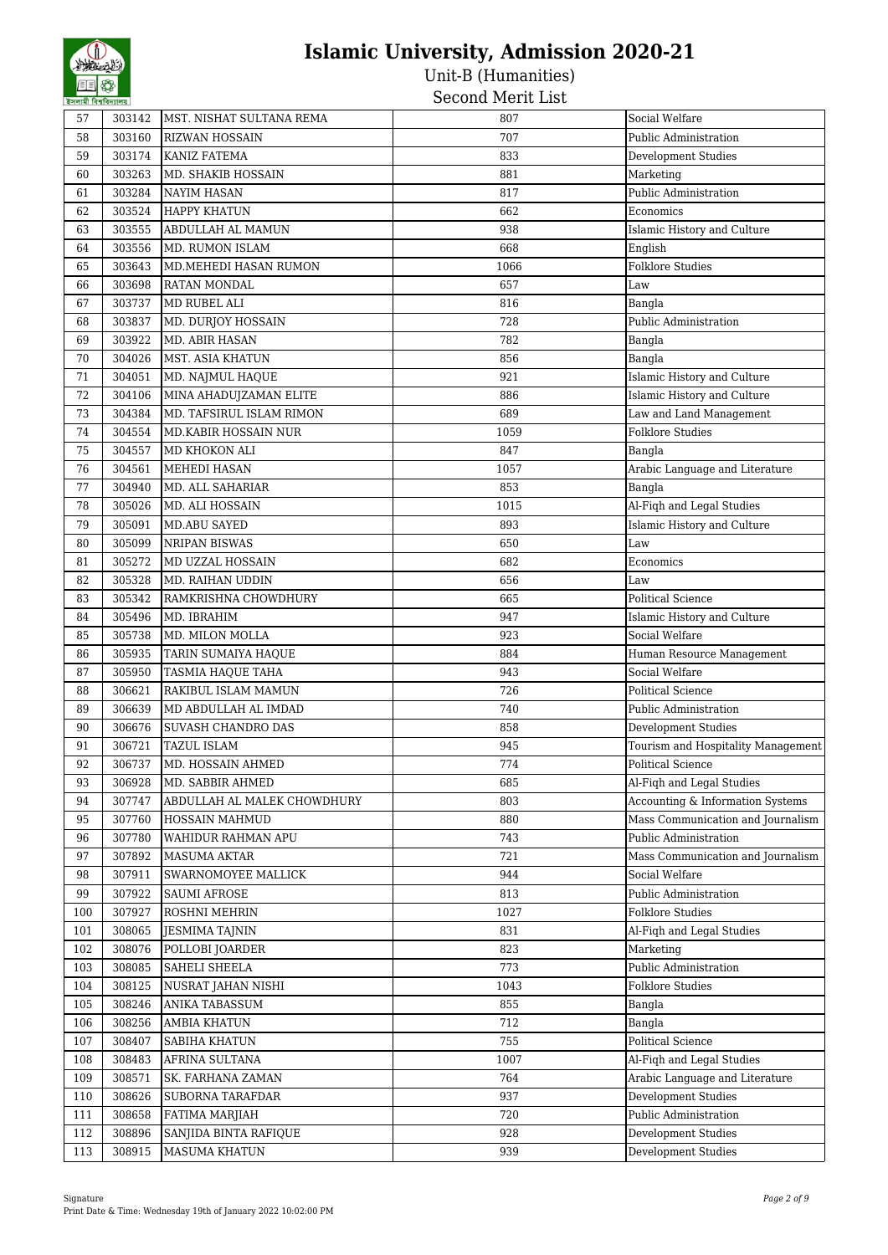| 57     | 303142 | MST. NISHAT SULTANA REMA    | 807  | Social Welfare                     |
|--------|--------|-----------------------------|------|------------------------------------|
| 58     | 303160 | <b>RIZWAN HOSSAIN</b>       | 707  | Public Administration              |
| 59     | 303174 | KANIZ FATEMA                | 833  | Development Studies                |
| 60     | 303263 | MD. SHAKIB HOSSAIN          | 881  | Marketing                          |
| 61     | 303284 | <b>NAYIM HASAN</b>          | 817  | Public Administration              |
| 62     | 303524 | <b>HAPPY KHATUN</b>         | 662  | Economics                          |
| 63     | 303555 | ABDULLAH AL MAMUN           | 938  | Islamic History and Culture        |
| 64     | 303556 | MD. RUMON ISLAM             | 668  | English                            |
| 65     | 303643 | MD.MEHEDI HASAN RUMON       | 1066 | <b>Folklore Studies</b>            |
| 66     | 303698 | RATAN MONDAL                | 657  | Law                                |
| 67     | 303737 | MD RUBEL ALI                | 816  | Bangla                             |
| 68     | 303837 | MD. DURJOY HOSSAIN          | 728  | Public Administration              |
| 69     | 303922 | MD. ABIR HASAN              | 782  | Bangla                             |
| 70     | 304026 | MST. ASIA KHATUN            | 856  | Bangla                             |
| $71\,$ | 304051 | MD. NAJMUL HAQUE            | 921  | Islamic History and Culture        |
| 72     | 304106 | MINA AHADUJZAMAN ELITE      | 886  | Islamic History and Culture        |
| 73     | 304384 | MD. TAFSIRUL ISLAM RIMON    | 689  | Law and Land Management            |
| 74     | 304554 | MD.KABIR HOSSAIN NUR        | 1059 | <b>Folklore Studies</b>            |
| 75     | 304557 | MD KHOKON ALI               | 847  | Bangla                             |
| 76     | 304561 | <b>MEHEDI HASAN</b>         | 1057 | Arabic Language and Literature     |
| 77     | 304940 | MD. ALL SAHARIAR            | 853  | Bangla                             |
| 78     | 305026 | MD. ALI HOSSAIN             | 1015 | Al-Fiqh and Legal Studies          |
| 79     | 305091 | <b>MD.ABU SAYED</b>         | 893  | Islamic History and Culture        |
| 80     | 305099 | <b>NRIPAN BISWAS</b>        | 650  | Law                                |
| 81     | 305272 | MD UZZAL HOSSAIN            | 682  | Economics                          |
| 82     | 305328 | MD. RAIHAN UDDIN            | 656  | Law                                |
| 83     | 305342 | RAMKRISHNA CHOWDHURY        | 665  | <b>Political Science</b>           |
| 84     | 305496 | MD. IBRAHIM                 | 947  | Islamic History and Culture        |
| 85     | 305738 | MD. MILON MOLLA             | 923  | Social Welfare                     |
| 86     | 305935 | TARIN SUMAIYA HAQUE         | 884  | Human Resource Management          |
| 87     | 305950 | TASMIA HAQUE TAHA           | 943  | Social Welfare                     |
| 88     | 306621 | RAKIBUL ISLAM MAMUN         | 726  | <b>Political Science</b>           |
| 89     | 306639 | MD ABDULLAH AL IMDAD        | 740  | Public Administration              |
| 90     | 306676 | SUVASH CHANDRO DAS          | 858  | Development Studies                |
| 91     | 306721 | <b>TAZUL ISLAM</b>          | 945  | Tourism and Hospitality Management |
| 92     | 306737 | MD. HOSSAIN AHMED           | 774  | Political Science                  |
| 93     | 306928 | MD. SABBIR AHMED            | 685  | Al-Fiqh and Legal Studies          |
| 94     | 307747 | ABDULLAH AL MALEK CHOWDHURY | 803  | Accounting & Information Systems   |
| 95     | 307760 | HOSSAIN MAHMUD              | 880  | Mass Communication and Journalism  |
| 96     | 307780 | WAHIDUR RAHMAN APU          | 743  | Public Administration              |
| 97     | 307892 | MASUMA AKTAR                | 721  | Mass Communication and Journalism  |
| 98     | 307911 | SWARNOMOYEE MALLICK         | 944  | Social Welfare                     |
| 99     | 307922 | <b>SAUMI AFROSE</b>         | 813  | Public Administration              |
| 100    | 307927 | ROSHNI MEHRIN               | 1027 | <b>Folklore Studies</b>            |
| 101    | 308065 | JESMIMA TAJNIN              | 831  | Al-Fiqh and Legal Studies          |
| 102    | 308076 | POLLOBI JOARDER             | 823  | Marketing                          |
| 103    | 308085 | SAHELI SHEELA               | 773  | Public Administration              |
| 104    | 308125 | NUSRAT JAHAN NISHI          | 1043 | <b>Folklore Studies</b>            |
| 105    | 308246 | ANIKA TABASSUM              | 855  | Bangla                             |
| 106    | 308256 | <b>AMBIA KHATUN</b>         | 712  | Bangla                             |
| 107    | 308407 | SABIHA KHATUN               | 755  | Political Science                  |
| 108    | 308483 | AFRINA SULTANA              | 1007 | Al-Fiqh and Legal Studies          |
| 109    | 308571 | SK. FARHANA ZAMAN           | 764  | Arabic Language and Literature     |
| 110    | 308626 | <b>SUBORNA TARAFDAR</b>     | 937  | Development Studies                |
| 111    | 308658 | FATIMA MARJIAH              | 720  | Public Administration              |
| 112    | 308896 | SANJIDA BINTA RAFIQUE       | 928  | Development Studies                |
| 113    | 308915 | <b>MASUMA KHATUN</b>        | 939  | <b>Development Studies</b>         |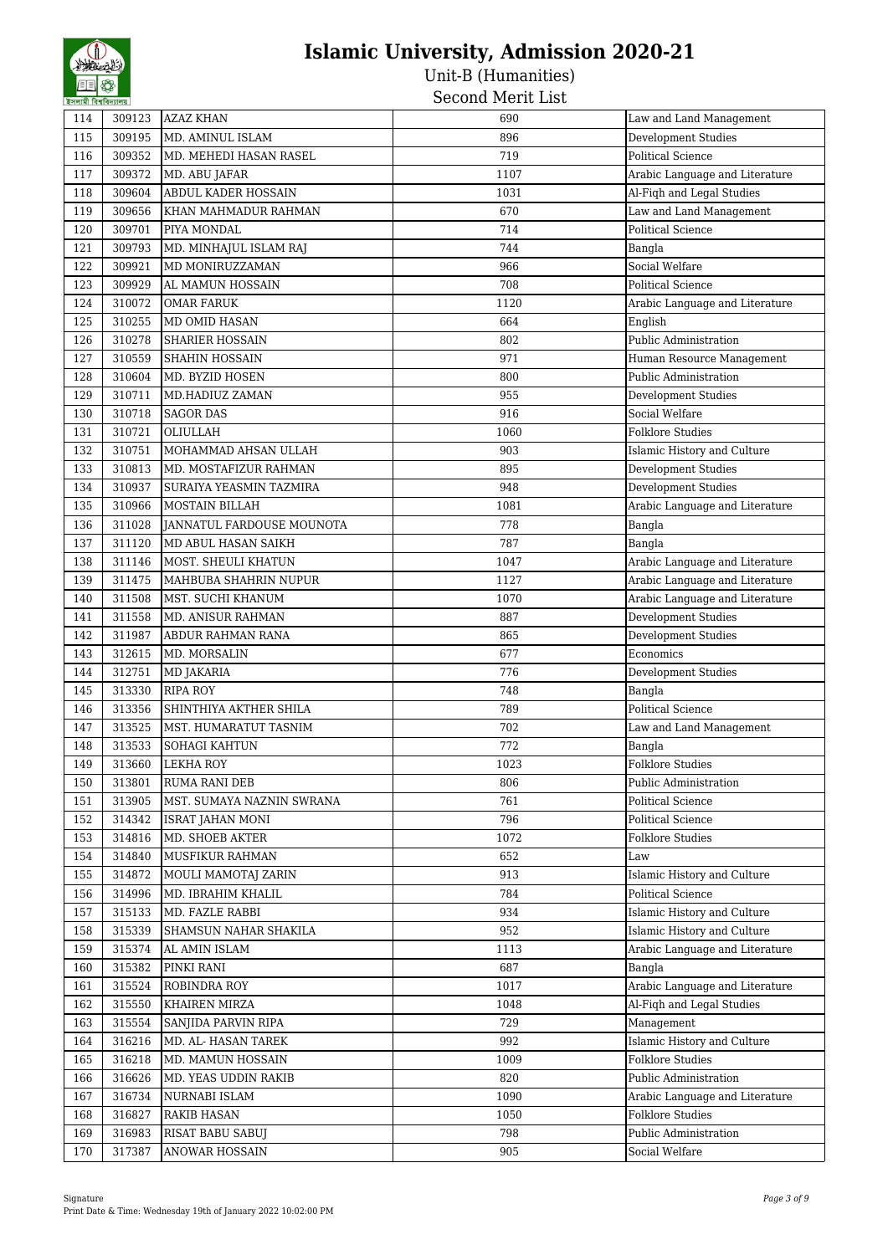| ইসলামী বিশ্ববিদ্যালয় |        |                                            | אפר אונאיז ואווטיאס |                                |
|-----------------------|--------|--------------------------------------------|---------------------|--------------------------------|
| 114                   | 309123 | <b>AZAZ KHAN</b>                           | 690                 | Law and Land Management        |
| 115                   | 309195 | MD. AMINUL ISLAM                           | 896                 | <b>Development Studies</b>     |
| 116                   | 309352 | MD. MEHEDI HASAN RASEL                     | 719                 | <b>Political Science</b>       |
| 117                   | 309372 | MD. ABU JAFAR                              | 1107                | Arabic Language and Literature |
| 118                   | 309604 | ABDUL KADER HOSSAIN                        | 1031                | Al-Fiqh and Legal Studies      |
| 119                   | 309656 | KHAN MAHMADUR RAHMAN                       | 670                 | Law and Land Management        |
| 120                   | 309701 | PIYA MONDAL                                | 714                 | <b>Political Science</b>       |
| 121                   | 309793 | MD. MINHAJUL ISLAM RAJ                     | 744                 | Bangla                         |
| 122                   | 309921 | MD MONIRUZZAMAN                            | 966                 | Social Welfare                 |
| 123                   | 309929 | AL MAMUN HOSSAIN                           | 708                 | <b>Political Science</b>       |
| 124                   | 310072 | <b>OMAR FARUK</b>                          | 1120                | Arabic Language and Literature |
| 125                   | 310255 | MD OMID HASAN                              | 664                 | English                        |
| 126                   | 310278 | <b>SHARIER HOSSAIN</b>                     | 802                 | Public Administration          |
| 127                   | 310559 | <b>SHAHIN HOSSAIN</b>                      | 971                 | Human Resource Management      |
| 128                   | 310604 | MD. BYZID HOSEN                            | 800                 | Public Administration          |
| 129                   | 310711 | MD.HADIUZ ZAMAN                            | 955                 | <b>Development Studies</b>     |
| 130                   | 310718 | <b>SAGOR DAS</b>                           | 916                 | Social Welfare                 |
| 131                   | 310721 | OLIULLAH                                   | 1060                | <b>Folklore Studies</b>        |
| 132                   | 310751 | MOHAMMAD AHSAN ULLAH                       | 903                 | Islamic History and Culture    |
| 133                   | 310813 | MD. MOSTAFIZUR RAHMAN                      | 895                 | Development Studies            |
| 134                   | 310937 | SURAIYA YEASMIN TAZMIRA                    | 948                 | Development Studies            |
| 135                   | 310966 | <b>MOSTAIN BILLAH</b>                      | 1081                | Arabic Language and Literature |
| 136                   | 311028 | JANNATUL FARDOUSE MOUNOTA                  | 778                 | Bangla                         |
| 137                   | 311120 | MD ABUL HASAN SAIKH                        | 787                 | Bangla                         |
| 138                   | 311146 | MOST. SHEULI KHATUN                        | 1047                | Arabic Language and Literature |
| 139                   | 311475 | MAHBUBA SHAHRIN NUPUR                      | 1127                | Arabic Language and Literature |
| 140                   | 311508 | MST. SUCHI KHANUM                          | 1070                | Arabic Language and Literature |
| 141                   | 311558 | MD. ANISUR RAHMAN                          | 887                 | Development Studies            |
| 142                   | 311987 | ABDUR RAHMAN RANA                          | 865                 | Development Studies            |
| 143                   | 312615 | MD. MORSALIN                               | 677                 | Economics                      |
| 144                   | 312751 | MD JAKARIA                                 | 776                 | Development Studies            |
| 145                   | 313330 | <b>RIPA ROY</b>                            | 748                 | Bangla                         |
| 146                   | 313356 | SHINTHIYA AKTHER SHILA                     | 789                 | <b>Political Science</b>       |
| 147                   | 313525 | MST. HUMARATUT TASNIM                      | 702                 | Law and Land Management        |
| 148                   | 313533 | SOHAGI KAHTUN                              | 772                 | Bangla                         |
| 149                   | 313660 | <b>LEKHA ROY</b>                           | 1023                | <b>Folklore Studies</b>        |
| 150                   | 313801 | <b>RUMA RANI DEB</b>                       | 806                 | Public Administration          |
| 151                   | 313905 | MST. SUMAYA NAZNIN SWRANA                  | 761                 | <b>Political Science</b>       |
| 152                   | 314342 | ISRAT JAHAN MONI                           | 796                 | Political Science              |
| 153                   | 314816 | MD. SHOEB AKTER                            | 1072                | <b>Folklore Studies</b>        |
| 154                   | 314840 | <b>MUSFIKUR RAHMAN</b>                     | 652                 | Law                            |
| 155                   | 314872 | MOULI MAMOTAJ ZARIN                        | 913                 | Islamic History and Culture    |
| 156                   | 314996 | MD. IBRAHIM KHALIL                         | 784                 | Political Science              |
| 157                   | 315133 | MD. FAZLE RABBI                            | 934                 | Islamic History and Culture    |
| 158                   | 315339 | <b>SHAMSUN NAHAR SHAKILA</b>               | 952                 | Islamic History and Culture    |
| 159                   | 315374 | AL AMIN ISLAM                              | 1113                | Arabic Language and Literature |
| 160                   | 315382 | PINKI RANI                                 | 687                 | Bangla                         |
| 161                   | 315524 | ROBINDRA ROY                               | 1017                | Arabic Language and Literature |
| 162                   | 315550 | KHAIREN MIRZA                              | 1048                | Al-Figh and Legal Studies      |
| 163                   | 315554 |                                            | 729                 | Management                     |
| 164                   | 316216 | SANJIDA PARVIN RIPA<br>MD. AL- HASAN TAREK | 992                 | Islamic History and Culture    |
|                       |        |                                            |                     |                                |
| 165                   | 316218 | MD. MAMUN HOSSAIN                          | 1009                | <b>Folklore Studies</b>        |
| 166                   | 316626 | MD. YEAS UDDIN RAKIB                       | 820                 | Public Administration          |
| 167                   | 316734 | NURNABI ISLAM                              | 1090                | Arabic Language and Literature |
| 168                   | 316827 | <b>RAKIB HASAN</b>                         | 1050                | <b>Folklore Studies</b>        |
| 169                   | 316983 | RISAT BABU SABUJ                           | 798                 | Public Administration          |
| 170                   | 317387 | <b>ANOWAR HOSSAIN</b>                      | 905                 | Social Welfare                 |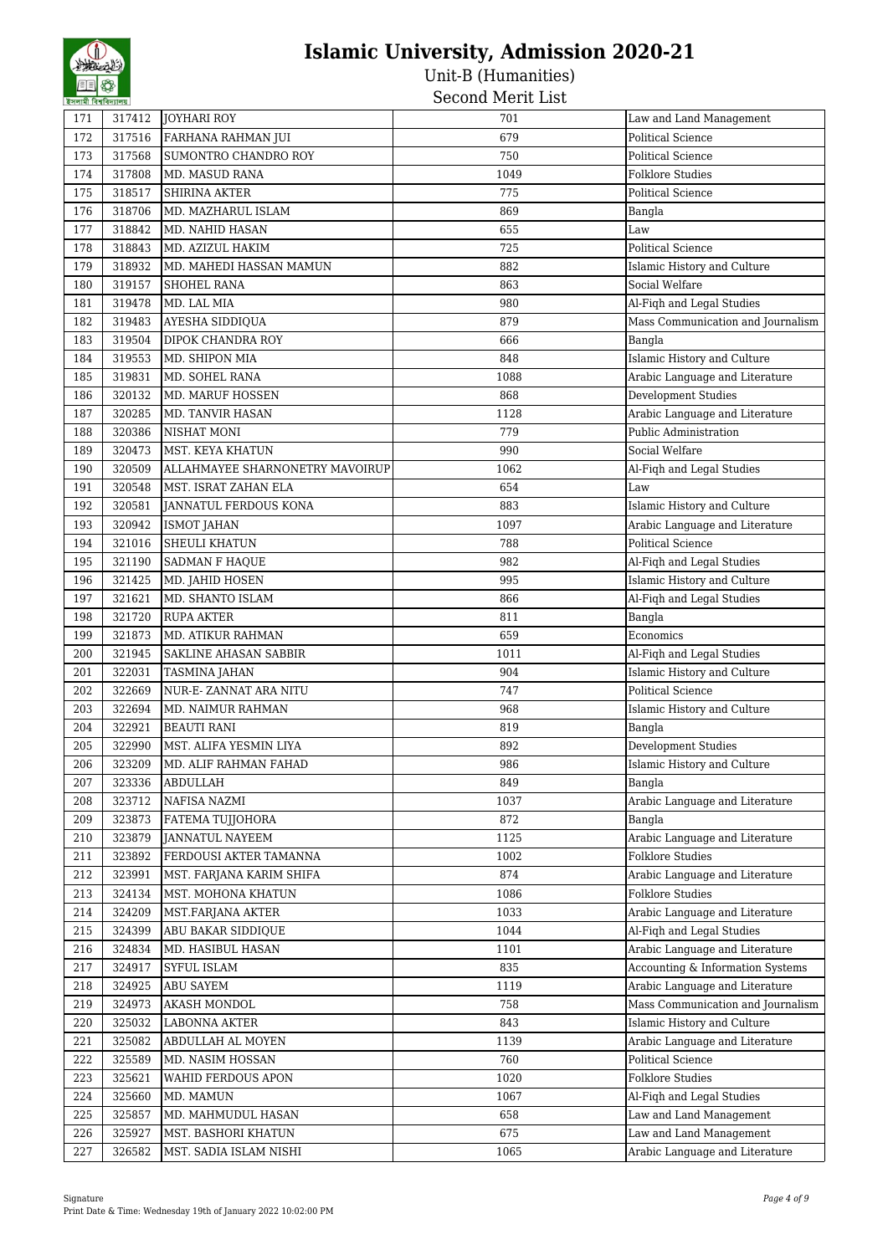| হসলামা বিশ্ববিদ্যালয় |        |                                 | סטום אנטויו מווסטט |                                                    |
|-----------------------|--------|---------------------------------|--------------------|----------------------------------------------------|
| 171                   | 317412 | <b>JOYHARI ROY</b>              | 701                | Law and Land Management                            |
| 172                   | 317516 | FARHANA RAHMAN JUI              | 679                | <b>Political Science</b>                           |
| 173                   | 317568 | SUMONTRO CHANDRO ROY            | 750                | Political Science                                  |
| 174                   | 317808 | MD. MASUD RANA                  | 1049               | <b>Folklore Studies</b>                            |
| 175                   | 318517 | <b>SHIRINA AKTER</b>            | 775                | Political Science                                  |
| 176                   | 318706 | MD. MAZHARUL ISLAM              | 869                | Bangla                                             |
| 177                   | 318842 | MD. NAHID HASAN                 | 655                | Law                                                |
| 178                   | 318843 | MD. AZIZUL HAKIM                | 725                | <b>Political Science</b>                           |
| 179                   | 318932 | MD. MAHEDI HASSAN MAMUN         | 882                | Islamic History and Culture                        |
| 180                   | 319157 | <b>SHOHEL RANA</b>              | 863                | Social Welfare                                     |
| 181                   | 319478 | MD. LAL MIA                     | 980                | Al-Fiqh and Legal Studies                          |
| 182                   | 319483 | AYESHA SIDDIQUA                 | 879                | Mass Communication and Journalism                  |
| 183                   | 319504 | DIPOK CHANDRA ROY               | 666                | Bangla                                             |
| 184                   | 319553 | MD. SHIPON MIA                  | 848                | Islamic History and Culture                        |
| 185                   | 319831 | MD. SOHEL RANA                  | 1088               | Arabic Language and Literature                     |
| 186                   | 320132 | MD. MARUF HOSSEN                | 868                | Development Studies                                |
| 187                   | 320285 | MD. TANVIR HASAN                | 1128               | Arabic Language and Literature                     |
| 188                   | 320386 | NISHAT MONI                     | 779                | Public Administration                              |
| 189                   | 320473 | MST. KEYA KHATUN                | 990                | Social Welfare                                     |
| 190                   | 320509 | ALLAHMAYEE SHARNONETRY MAVOIRUP | 1062               | Al-Fiqh and Legal Studies                          |
| 191                   | 320548 | MST. ISRAT ZAHAN ELA            | 654                | Law                                                |
| 192                   | 320581 | JANNATUL FERDOUS KONA           | 883                | Islamic History and Culture                        |
| 193                   | 320942 | <b>ISMOT JAHAN</b>              | 1097               | Arabic Language and Literature                     |
| 194                   | 321016 | <b>SHEULI KHATUN</b>            | 788                | Political Science                                  |
| 195                   | 321190 | SADMAN F HAQUE                  | 982                | Al-Fiqh and Legal Studies                          |
| 196                   | 321425 | MD. JAHID HOSEN                 | 995                | Islamic History and Culture                        |
| 197                   | 321621 | MD. SHANTO ISLAM                | 866                | Al-Fiqh and Legal Studies                          |
| 198                   | 321720 | <b>RUPA AKTER</b>               | 811                | Bangla                                             |
| 199                   | 321873 | <b>MD. ATIKUR RAHMAN</b>        | 659                | Economics                                          |
| 200                   | 321945 | SAKLINE AHASAN SABBIR           | 1011               | Al-Fiqh and Legal Studies                          |
| 201                   | 322031 | <b>TASMINA JAHAN</b>            | 904                | Islamic History and Culture                        |
| 202                   | 322669 | NUR-E-ZANNAT ARA NITU           | 747                | <b>Political Science</b>                           |
| 203                   | 322694 | MD. NAIMUR RAHMAN               | 968                | Islamic History and Culture                        |
| 204                   | 322921 | <b>BEAUTI RANI</b>              | 819                | Bangla                                             |
| 205                   | 322990 | MST. ALIFA YESMIN LIYA          | 892                | Development Studies                                |
| 206                   | 323209 | MD. ALIF RAHMAN FAHAD           | 986                | Islamic History and Culture                        |
| 207                   | 323336 | <b>ABDULLAH</b>                 | 849                | Bangla                                             |
| 208                   | 323712 | NAFISA NAZMI                    | 1037               | Arabic Language and Literature                     |
| 209                   | 323873 | FATEMA TUJJOHORA                | 872                | Bangla                                             |
| 210                   | 323879 | <b>JANNATUL NAYEEM</b>          | 1125               | Arabic Language and Literature                     |
| 211                   | 323892 | FERDOUSI AKTER TAMANNA          | 1002               | <b>Folklore Studies</b>                            |
| 212                   | 323991 | MST. FARJANA KARIM SHIFA        | 874                | Arabic Language and Literature                     |
| 213                   | 324134 | MST. MOHONA KHATUN              | 1086               | <b>Folklore Studies</b>                            |
| 214                   | 324209 | MST.FARJANA AKTER               | 1033               | Arabic Language and Literature                     |
| 215                   | 324399 | ABU BAKAR SIDDIQUE              | 1044               | Al-Figh and Legal Studies                          |
| 216                   | 324834 | MD. HASIBUL HASAN               | 1101               | Arabic Language and Literature                     |
| 217                   | 324917 | SYFUL ISLAM                     | 835                | Accounting & Information Systems                   |
| 218                   | 324925 | ABU SAYEM                       | 1119               | Arabic Language and Literature                     |
| 219                   | 324973 | <b>AKASH MONDOL</b>             | 758                | Mass Communication and Journalism                  |
| 220                   | 325032 | LABONNA AKTER                   | 843                | Islamic History and Culture                        |
| 221                   | 325082 | ABDULLAH AL MOYEN               | 1139               | Arabic Language and Literature                     |
| 222                   | 325589 | MD. NASIM HOSSAN                | 760                | Political Science                                  |
| 223                   | 325621 | WAHID FERDOUS APON              | 1020               | <b>Folklore Studies</b>                            |
| 224                   | 325660 | MD. MAMUN                       | 1067               |                                                    |
| 225                   | 325857 | MD. MAHMUDUL HASAN              | 658                | Al-Fiqh and Legal Studies                          |
| 226                   | 325927 | MST. BASHORI KHATUN             | 675                | Law and Land Management<br>Law and Land Management |
|                       |        |                                 |                    |                                                    |
| 227                   | 326582 | MST. SADIA ISLAM NISHI          | 1065               | Arabic Language and Literature                     |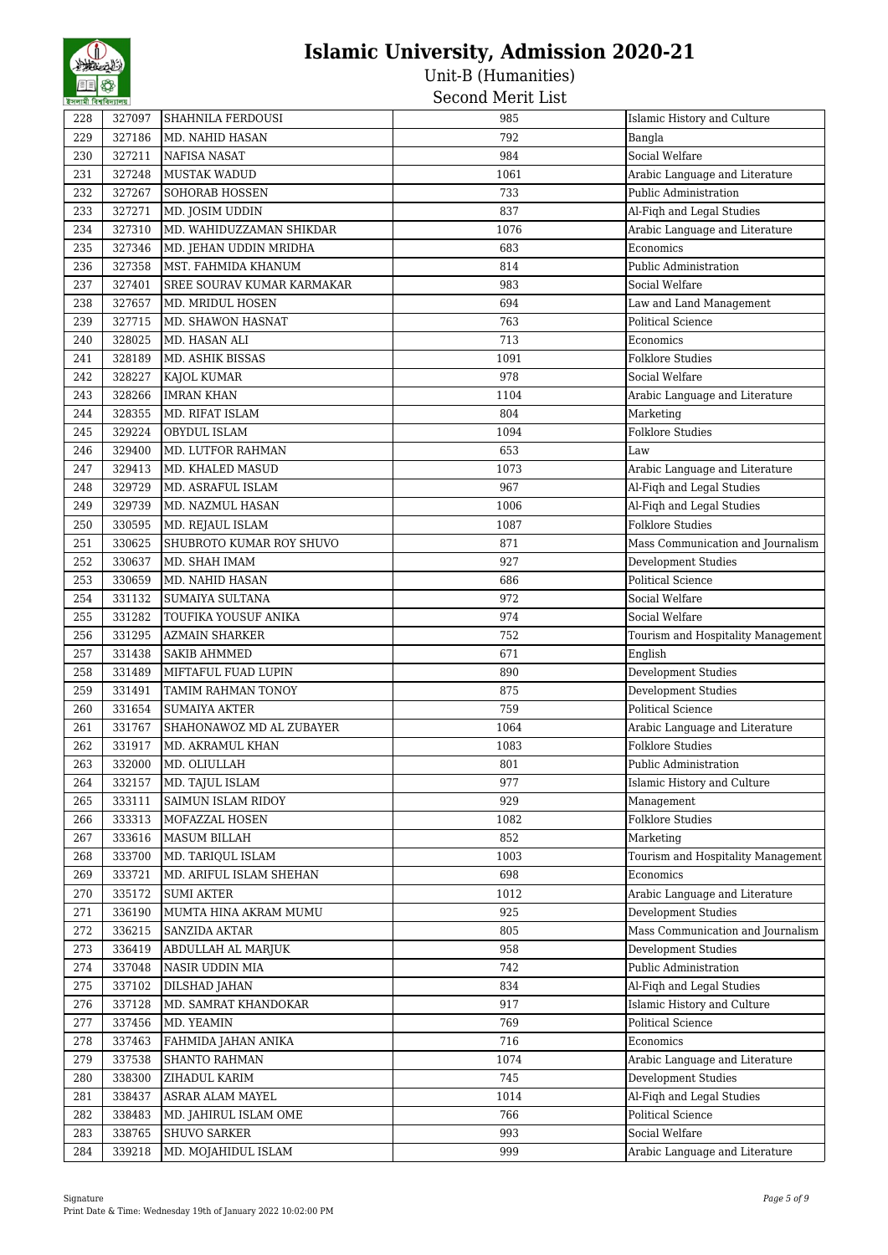| 792<br>Bangla<br>229<br>327186<br>MD. NAHID HASAN<br>Social Welfare<br>984<br>230<br>327211<br><b>NAFISA NASAT</b><br>327248<br><b>MUSTAK WADUD</b><br>1061<br>Arabic Language and Literature<br>231<br>Public Administration<br>232<br>327267<br>733<br>SOHORAB HOSSEN<br>233<br>327271<br>837<br>Al-Fiqh and Legal Studies<br>MD. JOSIM UDDIN<br>327310<br>MD. WAHIDUZZAMAN SHIKDAR<br>Arabic Language and Literature<br>234<br>1076<br>235<br>327346<br>683<br>Economics<br>MD. JEHAN UDDIN MRIDHA<br>236<br>327358<br>Public Administration<br>MST. FAHMIDA KHANUM<br>814<br>237<br>327401<br>SREE SOURAV KUMAR KARMAKAR<br>983<br>Social Welfare<br>327657<br>694<br>Law and Land Management<br>238<br>MD. MRIDUL HOSEN<br>327715<br>763<br><b>Political Science</b><br>239<br>MD. SHAWON HASNAT<br>328025<br>713<br>240<br>MD. HASAN ALI<br>Economics<br>328189<br><b>Folklore Studies</b><br>241<br>MD. ASHIK BISSAS<br>1091<br>328227<br>242<br>KAJOL KUMAR<br>978<br>Social Welfare<br>243<br>328266<br><b>IMRAN KHAN</b><br>Arabic Language and Literature<br>1104<br>244<br>328355<br>MD. RIFAT ISLAM<br>Marketing<br>804<br>329224<br><b>Folklore Studies</b><br>245<br>OBYDUL ISLAM<br>1094<br>329400<br>MD. LUTFOR RAHMAN<br>653<br>246<br>Law<br>329413<br>247<br>MD. KHALED MASUD<br>1073<br>Arabic Language and Literature<br>329729<br>Al-Fiqh and Legal Studies<br>248<br>MD. ASRAFUL ISLAM<br>967<br>329739<br>Al-Fiqh and Legal Studies<br>249<br>MD. NAZMUL HASAN<br>1006<br><b>Folklore Studies</b><br>330595<br>MD. REJAUL ISLAM<br>250<br>1087<br>330625<br>SHUBROTO KUMAR ROY SHUVO<br>Mass Communication and Journalism<br>251<br>871<br>252<br>330637<br>MD. SHAH IMAM<br>927<br><b>Development Studies</b><br>Political Science<br>253<br>330659<br>MD. NAHID HASAN<br>686<br>331132<br>SUMAIYA SULTANA<br>972<br>Social Welfare<br>254<br>331282<br>974<br>Social Welfare<br>255<br>TOUFIKA YOUSUF ANIKA<br>331295<br>Tourism and Hospitality Management<br>256<br><b>AZMAIN SHARKER</b><br>752<br>257<br>331438<br>671<br><b>SAKIB AHMMED</b><br>English<br>Development Studies<br>258<br>331489<br>890<br>MIFTAFUL FUAD LUPIN<br>Development Studies<br>259<br>331491<br>875<br>TAMIM RAHMAN TONOY<br><b>Political Science</b><br>260<br>331654<br>759<br><b>SUMAIYA AKTER</b><br>331767<br>SHAHONAWOZ MD AL ZUBAYER<br>1064<br>Arabic Language and Literature<br>261<br><b>Folklore Studies</b><br>262<br>331917<br>1083<br>MD. AKRAMUL KHAN<br>263<br>332000<br>MD. OLIULLAH<br>801<br>Public Administration<br>332157<br>MD. TAJUL ISLAM<br>977<br>Islamic History and Culture<br>264<br>929<br>265<br>333111<br>SAIMUN ISLAM RIDOY<br>Management<br>266<br>333313<br>MOFAZZAL HOSEN<br>1082<br><b>Folklore Studies</b><br>333616<br><b>MASUM BILLAH</b><br>852<br>Marketing<br>267<br>333700<br>MD. TARIQUL ISLAM<br>1003<br>Tourism and Hospitality Management<br>268<br>333721<br>MD. ARIFUL ISLAM SHEHAN<br>698<br>Economics<br>269<br>Arabic Language and Literature<br>335172<br><b>SUMI AKTER</b><br>1012<br>270<br><b>Development Studies</b><br>336190<br>MUMTA HINA AKRAM MUMU<br>925<br>271<br>336215<br>Mass Communication and Journalism<br>272<br>SANZIDA AKTAR<br>805<br><b>Development Studies</b><br>273<br>336419<br>ABDULLAH AL MARJUK<br>958<br>Public Administration<br>337048<br>NASIR UDDIN MIA<br>742<br>274<br>337102<br>275<br>DILSHAD JAHAN<br>834<br>Al-Fiqh and Legal Studies<br>337128<br>Islamic History and Culture<br>276<br>MD. SAMRAT KHANDOKAR<br>917<br>337456<br>769<br>Political Science<br>277<br>MD. YEAMIN<br>337463<br>Economics<br>278<br>FAHMIDA JAHAN ANIKA<br>716<br>337538<br>279<br>SHANTO RAHMAN<br>1074<br>Arabic Language and Literature<br>338300<br>Development Studies<br>280<br>ZIHADUL KARIM<br>745<br>338437<br>ASRAR ALAM MAYEL<br>1014<br>Al-Fiqh and Legal Studies<br>281<br>282<br>338483<br>MD. JAHIRUL ISLAM OME<br>766<br>Political Science<br>Social Welfare<br>283<br>338765<br><b>SHUVO SARKER</b><br>993<br>999<br>339218<br>MD. MOJAHIDUL ISLAM<br>Arabic Language and Literature<br>284 | 228 | 327097 | SHAHNILA FERDOUSI | 985 | Islamic History and Culture |
|---------------------------------------------------------------------------------------------------------------------------------------------------------------------------------------------------------------------------------------------------------------------------------------------------------------------------------------------------------------------------------------------------------------------------------------------------------------------------------------------------------------------------------------------------------------------------------------------------------------------------------------------------------------------------------------------------------------------------------------------------------------------------------------------------------------------------------------------------------------------------------------------------------------------------------------------------------------------------------------------------------------------------------------------------------------------------------------------------------------------------------------------------------------------------------------------------------------------------------------------------------------------------------------------------------------------------------------------------------------------------------------------------------------------------------------------------------------------------------------------------------------------------------------------------------------------------------------------------------------------------------------------------------------------------------------------------------------------------------------------------------------------------------------------------------------------------------------------------------------------------------------------------------------------------------------------------------------------------------------------------------------------------------------------------------------------------------------------------------------------------------------------------------------------------------------------------------------------------------------------------------------------------------------------------------------------------------------------------------------------------------------------------------------------------------------------------------------------------------------------------------------------------------------------------------------------------------------------------------------------------------------------------------------------------------------------------------------------------------------------------------------------------------------------------------------------------------------------------------------------------------------------------------------------------------------------------------------------------------------------------------------------------------------------------------------------------------------------------------------------------------------------------------------------------------------------------------------------------------------------------------------------------------------------------------------------------------------------------------------------------------------------------------------------------------------------------------------------------------------------------------------------------------------------------------------------------------------------------------------------------------------------------------------------------------------------------------------------------------------------------------------------------------------------------------------------------------------------------------------------------------------------------------------------------------------------------------------------------------------------------------------------------------------------------------------------------------------------------|-----|--------|-------------------|-----|-----------------------------|
|                                                                                                                                                                                                                                                                                                                                                                                                                                                                                                                                                                                                                                                                                                                                                                                                                                                                                                                                                                                                                                                                                                                                                                                                                                                                                                                                                                                                                                                                                                                                                                                                                                                                                                                                                                                                                                                                                                                                                                                                                                                                                                                                                                                                                                                                                                                                                                                                                                                                                                                                                                                                                                                                                                                                                                                                                                                                                                                                                                                                                                                                                                                                                                                                                                                                                                                                                                                                                                                                                                                                                                                                                                                                                                                                                                                                                                                                                                                                                                                                                                                                                                   |     |        |                   |     |                             |
|                                                                                                                                                                                                                                                                                                                                                                                                                                                                                                                                                                                                                                                                                                                                                                                                                                                                                                                                                                                                                                                                                                                                                                                                                                                                                                                                                                                                                                                                                                                                                                                                                                                                                                                                                                                                                                                                                                                                                                                                                                                                                                                                                                                                                                                                                                                                                                                                                                                                                                                                                                                                                                                                                                                                                                                                                                                                                                                                                                                                                                                                                                                                                                                                                                                                                                                                                                                                                                                                                                                                                                                                                                                                                                                                                                                                                                                                                                                                                                                                                                                                                                   |     |        |                   |     |                             |
|                                                                                                                                                                                                                                                                                                                                                                                                                                                                                                                                                                                                                                                                                                                                                                                                                                                                                                                                                                                                                                                                                                                                                                                                                                                                                                                                                                                                                                                                                                                                                                                                                                                                                                                                                                                                                                                                                                                                                                                                                                                                                                                                                                                                                                                                                                                                                                                                                                                                                                                                                                                                                                                                                                                                                                                                                                                                                                                                                                                                                                                                                                                                                                                                                                                                                                                                                                                                                                                                                                                                                                                                                                                                                                                                                                                                                                                                                                                                                                                                                                                                                                   |     |        |                   |     |                             |
|                                                                                                                                                                                                                                                                                                                                                                                                                                                                                                                                                                                                                                                                                                                                                                                                                                                                                                                                                                                                                                                                                                                                                                                                                                                                                                                                                                                                                                                                                                                                                                                                                                                                                                                                                                                                                                                                                                                                                                                                                                                                                                                                                                                                                                                                                                                                                                                                                                                                                                                                                                                                                                                                                                                                                                                                                                                                                                                                                                                                                                                                                                                                                                                                                                                                                                                                                                                                                                                                                                                                                                                                                                                                                                                                                                                                                                                                                                                                                                                                                                                                                                   |     |        |                   |     |                             |
|                                                                                                                                                                                                                                                                                                                                                                                                                                                                                                                                                                                                                                                                                                                                                                                                                                                                                                                                                                                                                                                                                                                                                                                                                                                                                                                                                                                                                                                                                                                                                                                                                                                                                                                                                                                                                                                                                                                                                                                                                                                                                                                                                                                                                                                                                                                                                                                                                                                                                                                                                                                                                                                                                                                                                                                                                                                                                                                                                                                                                                                                                                                                                                                                                                                                                                                                                                                                                                                                                                                                                                                                                                                                                                                                                                                                                                                                                                                                                                                                                                                                                                   |     |        |                   |     |                             |
|                                                                                                                                                                                                                                                                                                                                                                                                                                                                                                                                                                                                                                                                                                                                                                                                                                                                                                                                                                                                                                                                                                                                                                                                                                                                                                                                                                                                                                                                                                                                                                                                                                                                                                                                                                                                                                                                                                                                                                                                                                                                                                                                                                                                                                                                                                                                                                                                                                                                                                                                                                                                                                                                                                                                                                                                                                                                                                                                                                                                                                                                                                                                                                                                                                                                                                                                                                                                                                                                                                                                                                                                                                                                                                                                                                                                                                                                                                                                                                                                                                                                                                   |     |        |                   |     |                             |
|                                                                                                                                                                                                                                                                                                                                                                                                                                                                                                                                                                                                                                                                                                                                                                                                                                                                                                                                                                                                                                                                                                                                                                                                                                                                                                                                                                                                                                                                                                                                                                                                                                                                                                                                                                                                                                                                                                                                                                                                                                                                                                                                                                                                                                                                                                                                                                                                                                                                                                                                                                                                                                                                                                                                                                                                                                                                                                                                                                                                                                                                                                                                                                                                                                                                                                                                                                                                                                                                                                                                                                                                                                                                                                                                                                                                                                                                                                                                                                                                                                                                                                   |     |        |                   |     |                             |
|                                                                                                                                                                                                                                                                                                                                                                                                                                                                                                                                                                                                                                                                                                                                                                                                                                                                                                                                                                                                                                                                                                                                                                                                                                                                                                                                                                                                                                                                                                                                                                                                                                                                                                                                                                                                                                                                                                                                                                                                                                                                                                                                                                                                                                                                                                                                                                                                                                                                                                                                                                                                                                                                                                                                                                                                                                                                                                                                                                                                                                                                                                                                                                                                                                                                                                                                                                                                                                                                                                                                                                                                                                                                                                                                                                                                                                                                                                                                                                                                                                                                                                   |     |        |                   |     |                             |
|                                                                                                                                                                                                                                                                                                                                                                                                                                                                                                                                                                                                                                                                                                                                                                                                                                                                                                                                                                                                                                                                                                                                                                                                                                                                                                                                                                                                                                                                                                                                                                                                                                                                                                                                                                                                                                                                                                                                                                                                                                                                                                                                                                                                                                                                                                                                                                                                                                                                                                                                                                                                                                                                                                                                                                                                                                                                                                                                                                                                                                                                                                                                                                                                                                                                                                                                                                                                                                                                                                                                                                                                                                                                                                                                                                                                                                                                                                                                                                                                                                                                                                   |     |        |                   |     |                             |
|                                                                                                                                                                                                                                                                                                                                                                                                                                                                                                                                                                                                                                                                                                                                                                                                                                                                                                                                                                                                                                                                                                                                                                                                                                                                                                                                                                                                                                                                                                                                                                                                                                                                                                                                                                                                                                                                                                                                                                                                                                                                                                                                                                                                                                                                                                                                                                                                                                                                                                                                                                                                                                                                                                                                                                                                                                                                                                                                                                                                                                                                                                                                                                                                                                                                                                                                                                                                                                                                                                                                                                                                                                                                                                                                                                                                                                                                                                                                                                                                                                                                                                   |     |        |                   |     |                             |
|                                                                                                                                                                                                                                                                                                                                                                                                                                                                                                                                                                                                                                                                                                                                                                                                                                                                                                                                                                                                                                                                                                                                                                                                                                                                                                                                                                                                                                                                                                                                                                                                                                                                                                                                                                                                                                                                                                                                                                                                                                                                                                                                                                                                                                                                                                                                                                                                                                                                                                                                                                                                                                                                                                                                                                                                                                                                                                                                                                                                                                                                                                                                                                                                                                                                                                                                                                                                                                                                                                                                                                                                                                                                                                                                                                                                                                                                                                                                                                                                                                                                                                   |     |        |                   |     |                             |
|                                                                                                                                                                                                                                                                                                                                                                                                                                                                                                                                                                                                                                                                                                                                                                                                                                                                                                                                                                                                                                                                                                                                                                                                                                                                                                                                                                                                                                                                                                                                                                                                                                                                                                                                                                                                                                                                                                                                                                                                                                                                                                                                                                                                                                                                                                                                                                                                                                                                                                                                                                                                                                                                                                                                                                                                                                                                                                                                                                                                                                                                                                                                                                                                                                                                                                                                                                                                                                                                                                                                                                                                                                                                                                                                                                                                                                                                                                                                                                                                                                                                                                   |     |        |                   |     |                             |
|                                                                                                                                                                                                                                                                                                                                                                                                                                                                                                                                                                                                                                                                                                                                                                                                                                                                                                                                                                                                                                                                                                                                                                                                                                                                                                                                                                                                                                                                                                                                                                                                                                                                                                                                                                                                                                                                                                                                                                                                                                                                                                                                                                                                                                                                                                                                                                                                                                                                                                                                                                                                                                                                                                                                                                                                                                                                                                                                                                                                                                                                                                                                                                                                                                                                                                                                                                                                                                                                                                                                                                                                                                                                                                                                                                                                                                                                                                                                                                                                                                                                                                   |     |        |                   |     |                             |
|                                                                                                                                                                                                                                                                                                                                                                                                                                                                                                                                                                                                                                                                                                                                                                                                                                                                                                                                                                                                                                                                                                                                                                                                                                                                                                                                                                                                                                                                                                                                                                                                                                                                                                                                                                                                                                                                                                                                                                                                                                                                                                                                                                                                                                                                                                                                                                                                                                                                                                                                                                                                                                                                                                                                                                                                                                                                                                                                                                                                                                                                                                                                                                                                                                                                                                                                                                                                                                                                                                                                                                                                                                                                                                                                                                                                                                                                                                                                                                                                                                                                                                   |     |        |                   |     |                             |
|                                                                                                                                                                                                                                                                                                                                                                                                                                                                                                                                                                                                                                                                                                                                                                                                                                                                                                                                                                                                                                                                                                                                                                                                                                                                                                                                                                                                                                                                                                                                                                                                                                                                                                                                                                                                                                                                                                                                                                                                                                                                                                                                                                                                                                                                                                                                                                                                                                                                                                                                                                                                                                                                                                                                                                                                                                                                                                                                                                                                                                                                                                                                                                                                                                                                                                                                                                                                                                                                                                                                                                                                                                                                                                                                                                                                                                                                                                                                                                                                                                                                                                   |     |        |                   |     |                             |
|                                                                                                                                                                                                                                                                                                                                                                                                                                                                                                                                                                                                                                                                                                                                                                                                                                                                                                                                                                                                                                                                                                                                                                                                                                                                                                                                                                                                                                                                                                                                                                                                                                                                                                                                                                                                                                                                                                                                                                                                                                                                                                                                                                                                                                                                                                                                                                                                                                                                                                                                                                                                                                                                                                                                                                                                                                                                                                                                                                                                                                                                                                                                                                                                                                                                                                                                                                                                                                                                                                                                                                                                                                                                                                                                                                                                                                                                                                                                                                                                                                                                                                   |     |        |                   |     |                             |
|                                                                                                                                                                                                                                                                                                                                                                                                                                                                                                                                                                                                                                                                                                                                                                                                                                                                                                                                                                                                                                                                                                                                                                                                                                                                                                                                                                                                                                                                                                                                                                                                                                                                                                                                                                                                                                                                                                                                                                                                                                                                                                                                                                                                                                                                                                                                                                                                                                                                                                                                                                                                                                                                                                                                                                                                                                                                                                                                                                                                                                                                                                                                                                                                                                                                                                                                                                                                                                                                                                                                                                                                                                                                                                                                                                                                                                                                                                                                                                                                                                                                                                   |     |        |                   |     |                             |
|                                                                                                                                                                                                                                                                                                                                                                                                                                                                                                                                                                                                                                                                                                                                                                                                                                                                                                                                                                                                                                                                                                                                                                                                                                                                                                                                                                                                                                                                                                                                                                                                                                                                                                                                                                                                                                                                                                                                                                                                                                                                                                                                                                                                                                                                                                                                                                                                                                                                                                                                                                                                                                                                                                                                                                                                                                                                                                                                                                                                                                                                                                                                                                                                                                                                                                                                                                                                                                                                                                                                                                                                                                                                                                                                                                                                                                                                                                                                                                                                                                                                                                   |     |        |                   |     |                             |
|                                                                                                                                                                                                                                                                                                                                                                                                                                                                                                                                                                                                                                                                                                                                                                                                                                                                                                                                                                                                                                                                                                                                                                                                                                                                                                                                                                                                                                                                                                                                                                                                                                                                                                                                                                                                                                                                                                                                                                                                                                                                                                                                                                                                                                                                                                                                                                                                                                                                                                                                                                                                                                                                                                                                                                                                                                                                                                                                                                                                                                                                                                                                                                                                                                                                                                                                                                                                                                                                                                                                                                                                                                                                                                                                                                                                                                                                                                                                                                                                                                                                                                   |     |        |                   |     |                             |
|                                                                                                                                                                                                                                                                                                                                                                                                                                                                                                                                                                                                                                                                                                                                                                                                                                                                                                                                                                                                                                                                                                                                                                                                                                                                                                                                                                                                                                                                                                                                                                                                                                                                                                                                                                                                                                                                                                                                                                                                                                                                                                                                                                                                                                                                                                                                                                                                                                                                                                                                                                                                                                                                                                                                                                                                                                                                                                                                                                                                                                                                                                                                                                                                                                                                                                                                                                                                                                                                                                                                                                                                                                                                                                                                                                                                                                                                                                                                                                                                                                                                                                   |     |        |                   |     |                             |
|                                                                                                                                                                                                                                                                                                                                                                                                                                                                                                                                                                                                                                                                                                                                                                                                                                                                                                                                                                                                                                                                                                                                                                                                                                                                                                                                                                                                                                                                                                                                                                                                                                                                                                                                                                                                                                                                                                                                                                                                                                                                                                                                                                                                                                                                                                                                                                                                                                                                                                                                                                                                                                                                                                                                                                                                                                                                                                                                                                                                                                                                                                                                                                                                                                                                                                                                                                                                                                                                                                                                                                                                                                                                                                                                                                                                                                                                                                                                                                                                                                                                                                   |     |        |                   |     |                             |
|                                                                                                                                                                                                                                                                                                                                                                                                                                                                                                                                                                                                                                                                                                                                                                                                                                                                                                                                                                                                                                                                                                                                                                                                                                                                                                                                                                                                                                                                                                                                                                                                                                                                                                                                                                                                                                                                                                                                                                                                                                                                                                                                                                                                                                                                                                                                                                                                                                                                                                                                                                                                                                                                                                                                                                                                                                                                                                                                                                                                                                                                                                                                                                                                                                                                                                                                                                                                                                                                                                                                                                                                                                                                                                                                                                                                                                                                                                                                                                                                                                                                                                   |     |        |                   |     |                             |
|                                                                                                                                                                                                                                                                                                                                                                                                                                                                                                                                                                                                                                                                                                                                                                                                                                                                                                                                                                                                                                                                                                                                                                                                                                                                                                                                                                                                                                                                                                                                                                                                                                                                                                                                                                                                                                                                                                                                                                                                                                                                                                                                                                                                                                                                                                                                                                                                                                                                                                                                                                                                                                                                                                                                                                                                                                                                                                                                                                                                                                                                                                                                                                                                                                                                                                                                                                                                                                                                                                                                                                                                                                                                                                                                                                                                                                                                                                                                                                                                                                                                                                   |     |        |                   |     |                             |
|                                                                                                                                                                                                                                                                                                                                                                                                                                                                                                                                                                                                                                                                                                                                                                                                                                                                                                                                                                                                                                                                                                                                                                                                                                                                                                                                                                                                                                                                                                                                                                                                                                                                                                                                                                                                                                                                                                                                                                                                                                                                                                                                                                                                                                                                                                                                                                                                                                                                                                                                                                                                                                                                                                                                                                                                                                                                                                                                                                                                                                                                                                                                                                                                                                                                                                                                                                                                                                                                                                                                                                                                                                                                                                                                                                                                                                                                                                                                                                                                                                                                                                   |     |        |                   |     |                             |
|                                                                                                                                                                                                                                                                                                                                                                                                                                                                                                                                                                                                                                                                                                                                                                                                                                                                                                                                                                                                                                                                                                                                                                                                                                                                                                                                                                                                                                                                                                                                                                                                                                                                                                                                                                                                                                                                                                                                                                                                                                                                                                                                                                                                                                                                                                                                                                                                                                                                                                                                                                                                                                                                                                                                                                                                                                                                                                                                                                                                                                                                                                                                                                                                                                                                                                                                                                                                                                                                                                                                                                                                                                                                                                                                                                                                                                                                                                                                                                                                                                                                                                   |     |        |                   |     |                             |
|                                                                                                                                                                                                                                                                                                                                                                                                                                                                                                                                                                                                                                                                                                                                                                                                                                                                                                                                                                                                                                                                                                                                                                                                                                                                                                                                                                                                                                                                                                                                                                                                                                                                                                                                                                                                                                                                                                                                                                                                                                                                                                                                                                                                                                                                                                                                                                                                                                                                                                                                                                                                                                                                                                                                                                                                                                                                                                                                                                                                                                                                                                                                                                                                                                                                                                                                                                                                                                                                                                                                                                                                                                                                                                                                                                                                                                                                                                                                                                                                                                                                                                   |     |        |                   |     |                             |
|                                                                                                                                                                                                                                                                                                                                                                                                                                                                                                                                                                                                                                                                                                                                                                                                                                                                                                                                                                                                                                                                                                                                                                                                                                                                                                                                                                                                                                                                                                                                                                                                                                                                                                                                                                                                                                                                                                                                                                                                                                                                                                                                                                                                                                                                                                                                                                                                                                                                                                                                                                                                                                                                                                                                                                                                                                                                                                                                                                                                                                                                                                                                                                                                                                                                                                                                                                                                                                                                                                                                                                                                                                                                                                                                                                                                                                                                                                                                                                                                                                                                                                   |     |        |                   |     |                             |
|                                                                                                                                                                                                                                                                                                                                                                                                                                                                                                                                                                                                                                                                                                                                                                                                                                                                                                                                                                                                                                                                                                                                                                                                                                                                                                                                                                                                                                                                                                                                                                                                                                                                                                                                                                                                                                                                                                                                                                                                                                                                                                                                                                                                                                                                                                                                                                                                                                                                                                                                                                                                                                                                                                                                                                                                                                                                                                                                                                                                                                                                                                                                                                                                                                                                                                                                                                                                                                                                                                                                                                                                                                                                                                                                                                                                                                                                                                                                                                                                                                                                                                   |     |        |                   |     |                             |
|                                                                                                                                                                                                                                                                                                                                                                                                                                                                                                                                                                                                                                                                                                                                                                                                                                                                                                                                                                                                                                                                                                                                                                                                                                                                                                                                                                                                                                                                                                                                                                                                                                                                                                                                                                                                                                                                                                                                                                                                                                                                                                                                                                                                                                                                                                                                                                                                                                                                                                                                                                                                                                                                                                                                                                                                                                                                                                                                                                                                                                                                                                                                                                                                                                                                                                                                                                                                                                                                                                                                                                                                                                                                                                                                                                                                                                                                                                                                                                                                                                                                                                   |     |        |                   |     |                             |
|                                                                                                                                                                                                                                                                                                                                                                                                                                                                                                                                                                                                                                                                                                                                                                                                                                                                                                                                                                                                                                                                                                                                                                                                                                                                                                                                                                                                                                                                                                                                                                                                                                                                                                                                                                                                                                                                                                                                                                                                                                                                                                                                                                                                                                                                                                                                                                                                                                                                                                                                                                                                                                                                                                                                                                                                                                                                                                                                                                                                                                                                                                                                                                                                                                                                                                                                                                                                                                                                                                                                                                                                                                                                                                                                                                                                                                                                                                                                                                                                                                                                                                   |     |        |                   |     |                             |
|                                                                                                                                                                                                                                                                                                                                                                                                                                                                                                                                                                                                                                                                                                                                                                                                                                                                                                                                                                                                                                                                                                                                                                                                                                                                                                                                                                                                                                                                                                                                                                                                                                                                                                                                                                                                                                                                                                                                                                                                                                                                                                                                                                                                                                                                                                                                                                                                                                                                                                                                                                                                                                                                                                                                                                                                                                                                                                                                                                                                                                                                                                                                                                                                                                                                                                                                                                                                                                                                                                                                                                                                                                                                                                                                                                                                                                                                                                                                                                                                                                                                                                   |     |        |                   |     |                             |
|                                                                                                                                                                                                                                                                                                                                                                                                                                                                                                                                                                                                                                                                                                                                                                                                                                                                                                                                                                                                                                                                                                                                                                                                                                                                                                                                                                                                                                                                                                                                                                                                                                                                                                                                                                                                                                                                                                                                                                                                                                                                                                                                                                                                                                                                                                                                                                                                                                                                                                                                                                                                                                                                                                                                                                                                                                                                                                                                                                                                                                                                                                                                                                                                                                                                                                                                                                                                                                                                                                                                                                                                                                                                                                                                                                                                                                                                                                                                                                                                                                                                                                   |     |        |                   |     |                             |
|                                                                                                                                                                                                                                                                                                                                                                                                                                                                                                                                                                                                                                                                                                                                                                                                                                                                                                                                                                                                                                                                                                                                                                                                                                                                                                                                                                                                                                                                                                                                                                                                                                                                                                                                                                                                                                                                                                                                                                                                                                                                                                                                                                                                                                                                                                                                                                                                                                                                                                                                                                                                                                                                                                                                                                                                                                                                                                                                                                                                                                                                                                                                                                                                                                                                                                                                                                                                                                                                                                                                                                                                                                                                                                                                                                                                                                                                                                                                                                                                                                                                                                   |     |        |                   |     |                             |
|                                                                                                                                                                                                                                                                                                                                                                                                                                                                                                                                                                                                                                                                                                                                                                                                                                                                                                                                                                                                                                                                                                                                                                                                                                                                                                                                                                                                                                                                                                                                                                                                                                                                                                                                                                                                                                                                                                                                                                                                                                                                                                                                                                                                                                                                                                                                                                                                                                                                                                                                                                                                                                                                                                                                                                                                                                                                                                                                                                                                                                                                                                                                                                                                                                                                                                                                                                                                                                                                                                                                                                                                                                                                                                                                                                                                                                                                                                                                                                                                                                                                                                   |     |        |                   |     |                             |
|                                                                                                                                                                                                                                                                                                                                                                                                                                                                                                                                                                                                                                                                                                                                                                                                                                                                                                                                                                                                                                                                                                                                                                                                                                                                                                                                                                                                                                                                                                                                                                                                                                                                                                                                                                                                                                                                                                                                                                                                                                                                                                                                                                                                                                                                                                                                                                                                                                                                                                                                                                                                                                                                                                                                                                                                                                                                                                                                                                                                                                                                                                                                                                                                                                                                                                                                                                                                                                                                                                                                                                                                                                                                                                                                                                                                                                                                                                                                                                                                                                                                                                   |     |        |                   |     |                             |
|                                                                                                                                                                                                                                                                                                                                                                                                                                                                                                                                                                                                                                                                                                                                                                                                                                                                                                                                                                                                                                                                                                                                                                                                                                                                                                                                                                                                                                                                                                                                                                                                                                                                                                                                                                                                                                                                                                                                                                                                                                                                                                                                                                                                                                                                                                                                                                                                                                                                                                                                                                                                                                                                                                                                                                                                                                                                                                                                                                                                                                                                                                                                                                                                                                                                                                                                                                                                                                                                                                                                                                                                                                                                                                                                                                                                                                                                                                                                                                                                                                                                                                   |     |        |                   |     |                             |
|                                                                                                                                                                                                                                                                                                                                                                                                                                                                                                                                                                                                                                                                                                                                                                                                                                                                                                                                                                                                                                                                                                                                                                                                                                                                                                                                                                                                                                                                                                                                                                                                                                                                                                                                                                                                                                                                                                                                                                                                                                                                                                                                                                                                                                                                                                                                                                                                                                                                                                                                                                                                                                                                                                                                                                                                                                                                                                                                                                                                                                                                                                                                                                                                                                                                                                                                                                                                                                                                                                                                                                                                                                                                                                                                                                                                                                                                                                                                                                                                                                                                                                   |     |        |                   |     |                             |
|                                                                                                                                                                                                                                                                                                                                                                                                                                                                                                                                                                                                                                                                                                                                                                                                                                                                                                                                                                                                                                                                                                                                                                                                                                                                                                                                                                                                                                                                                                                                                                                                                                                                                                                                                                                                                                                                                                                                                                                                                                                                                                                                                                                                                                                                                                                                                                                                                                                                                                                                                                                                                                                                                                                                                                                                                                                                                                                                                                                                                                                                                                                                                                                                                                                                                                                                                                                                                                                                                                                                                                                                                                                                                                                                                                                                                                                                                                                                                                                                                                                                                                   |     |        |                   |     |                             |
|                                                                                                                                                                                                                                                                                                                                                                                                                                                                                                                                                                                                                                                                                                                                                                                                                                                                                                                                                                                                                                                                                                                                                                                                                                                                                                                                                                                                                                                                                                                                                                                                                                                                                                                                                                                                                                                                                                                                                                                                                                                                                                                                                                                                                                                                                                                                                                                                                                                                                                                                                                                                                                                                                                                                                                                                                                                                                                                                                                                                                                                                                                                                                                                                                                                                                                                                                                                                                                                                                                                                                                                                                                                                                                                                                                                                                                                                                                                                                                                                                                                                                                   |     |        |                   |     |                             |
|                                                                                                                                                                                                                                                                                                                                                                                                                                                                                                                                                                                                                                                                                                                                                                                                                                                                                                                                                                                                                                                                                                                                                                                                                                                                                                                                                                                                                                                                                                                                                                                                                                                                                                                                                                                                                                                                                                                                                                                                                                                                                                                                                                                                                                                                                                                                                                                                                                                                                                                                                                                                                                                                                                                                                                                                                                                                                                                                                                                                                                                                                                                                                                                                                                                                                                                                                                                                                                                                                                                                                                                                                                                                                                                                                                                                                                                                                                                                                                                                                                                                                                   |     |        |                   |     |                             |
|                                                                                                                                                                                                                                                                                                                                                                                                                                                                                                                                                                                                                                                                                                                                                                                                                                                                                                                                                                                                                                                                                                                                                                                                                                                                                                                                                                                                                                                                                                                                                                                                                                                                                                                                                                                                                                                                                                                                                                                                                                                                                                                                                                                                                                                                                                                                                                                                                                                                                                                                                                                                                                                                                                                                                                                                                                                                                                                                                                                                                                                                                                                                                                                                                                                                                                                                                                                                                                                                                                                                                                                                                                                                                                                                                                                                                                                                                                                                                                                                                                                                                                   |     |        |                   |     |                             |
|                                                                                                                                                                                                                                                                                                                                                                                                                                                                                                                                                                                                                                                                                                                                                                                                                                                                                                                                                                                                                                                                                                                                                                                                                                                                                                                                                                                                                                                                                                                                                                                                                                                                                                                                                                                                                                                                                                                                                                                                                                                                                                                                                                                                                                                                                                                                                                                                                                                                                                                                                                                                                                                                                                                                                                                                                                                                                                                                                                                                                                                                                                                                                                                                                                                                                                                                                                                                                                                                                                                                                                                                                                                                                                                                                                                                                                                                                                                                                                                                                                                                                                   |     |        |                   |     |                             |
|                                                                                                                                                                                                                                                                                                                                                                                                                                                                                                                                                                                                                                                                                                                                                                                                                                                                                                                                                                                                                                                                                                                                                                                                                                                                                                                                                                                                                                                                                                                                                                                                                                                                                                                                                                                                                                                                                                                                                                                                                                                                                                                                                                                                                                                                                                                                                                                                                                                                                                                                                                                                                                                                                                                                                                                                                                                                                                                                                                                                                                                                                                                                                                                                                                                                                                                                                                                                                                                                                                                                                                                                                                                                                                                                                                                                                                                                                                                                                                                                                                                                                                   |     |        |                   |     |                             |
|                                                                                                                                                                                                                                                                                                                                                                                                                                                                                                                                                                                                                                                                                                                                                                                                                                                                                                                                                                                                                                                                                                                                                                                                                                                                                                                                                                                                                                                                                                                                                                                                                                                                                                                                                                                                                                                                                                                                                                                                                                                                                                                                                                                                                                                                                                                                                                                                                                                                                                                                                                                                                                                                                                                                                                                                                                                                                                                                                                                                                                                                                                                                                                                                                                                                                                                                                                                                                                                                                                                                                                                                                                                                                                                                                                                                                                                                                                                                                                                                                                                                                                   |     |        |                   |     |                             |
|                                                                                                                                                                                                                                                                                                                                                                                                                                                                                                                                                                                                                                                                                                                                                                                                                                                                                                                                                                                                                                                                                                                                                                                                                                                                                                                                                                                                                                                                                                                                                                                                                                                                                                                                                                                                                                                                                                                                                                                                                                                                                                                                                                                                                                                                                                                                                                                                                                                                                                                                                                                                                                                                                                                                                                                                                                                                                                                                                                                                                                                                                                                                                                                                                                                                                                                                                                                                                                                                                                                                                                                                                                                                                                                                                                                                                                                                                                                                                                                                                                                                                                   |     |        |                   |     |                             |
|                                                                                                                                                                                                                                                                                                                                                                                                                                                                                                                                                                                                                                                                                                                                                                                                                                                                                                                                                                                                                                                                                                                                                                                                                                                                                                                                                                                                                                                                                                                                                                                                                                                                                                                                                                                                                                                                                                                                                                                                                                                                                                                                                                                                                                                                                                                                                                                                                                                                                                                                                                                                                                                                                                                                                                                                                                                                                                                                                                                                                                                                                                                                                                                                                                                                                                                                                                                                                                                                                                                                                                                                                                                                                                                                                                                                                                                                                                                                                                                                                                                                                                   |     |        |                   |     |                             |
|                                                                                                                                                                                                                                                                                                                                                                                                                                                                                                                                                                                                                                                                                                                                                                                                                                                                                                                                                                                                                                                                                                                                                                                                                                                                                                                                                                                                                                                                                                                                                                                                                                                                                                                                                                                                                                                                                                                                                                                                                                                                                                                                                                                                                                                                                                                                                                                                                                                                                                                                                                                                                                                                                                                                                                                                                                                                                                                                                                                                                                                                                                                                                                                                                                                                                                                                                                                                                                                                                                                                                                                                                                                                                                                                                                                                                                                                                                                                                                                                                                                                                                   |     |        |                   |     |                             |
|                                                                                                                                                                                                                                                                                                                                                                                                                                                                                                                                                                                                                                                                                                                                                                                                                                                                                                                                                                                                                                                                                                                                                                                                                                                                                                                                                                                                                                                                                                                                                                                                                                                                                                                                                                                                                                                                                                                                                                                                                                                                                                                                                                                                                                                                                                                                                                                                                                                                                                                                                                                                                                                                                                                                                                                                                                                                                                                                                                                                                                                                                                                                                                                                                                                                                                                                                                                                                                                                                                                                                                                                                                                                                                                                                                                                                                                                                                                                                                                                                                                                                                   |     |        |                   |     |                             |
|                                                                                                                                                                                                                                                                                                                                                                                                                                                                                                                                                                                                                                                                                                                                                                                                                                                                                                                                                                                                                                                                                                                                                                                                                                                                                                                                                                                                                                                                                                                                                                                                                                                                                                                                                                                                                                                                                                                                                                                                                                                                                                                                                                                                                                                                                                                                                                                                                                                                                                                                                                                                                                                                                                                                                                                                                                                                                                                                                                                                                                                                                                                                                                                                                                                                                                                                                                                                                                                                                                                                                                                                                                                                                                                                                                                                                                                                                                                                                                                                                                                                                                   |     |        |                   |     |                             |
|                                                                                                                                                                                                                                                                                                                                                                                                                                                                                                                                                                                                                                                                                                                                                                                                                                                                                                                                                                                                                                                                                                                                                                                                                                                                                                                                                                                                                                                                                                                                                                                                                                                                                                                                                                                                                                                                                                                                                                                                                                                                                                                                                                                                                                                                                                                                                                                                                                                                                                                                                                                                                                                                                                                                                                                                                                                                                                                                                                                                                                                                                                                                                                                                                                                                                                                                                                                                                                                                                                                                                                                                                                                                                                                                                                                                                                                                                                                                                                                                                                                                                                   |     |        |                   |     |                             |
|                                                                                                                                                                                                                                                                                                                                                                                                                                                                                                                                                                                                                                                                                                                                                                                                                                                                                                                                                                                                                                                                                                                                                                                                                                                                                                                                                                                                                                                                                                                                                                                                                                                                                                                                                                                                                                                                                                                                                                                                                                                                                                                                                                                                                                                                                                                                                                                                                                                                                                                                                                                                                                                                                                                                                                                                                                                                                                                                                                                                                                                                                                                                                                                                                                                                                                                                                                                                                                                                                                                                                                                                                                                                                                                                                                                                                                                                                                                                                                                                                                                                                                   |     |        |                   |     |                             |
|                                                                                                                                                                                                                                                                                                                                                                                                                                                                                                                                                                                                                                                                                                                                                                                                                                                                                                                                                                                                                                                                                                                                                                                                                                                                                                                                                                                                                                                                                                                                                                                                                                                                                                                                                                                                                                                                                                                                                                                                                                                                                                                                                                                                                                                                                                                                                                                                                                                                                                                                                                                                                                                                                                                                                                                                                                                                                                                                                                                                                                                                                                                                                                                                                                                                                                                                                                                                                                                                                                                                                                                                                                                                                                                                                                                                                                                                                                                                                                                                                                                                                                   |     |        |                   |     |                             |
|                                                                                                                                                                                                                                                                                                                                                                                                                                                                                                                                                                                                                                                                                                                                                                                                                                                                                                                                                                                                                                                                                                                                                                                                                                                                                                                                                                                                                                                                                                                                                                                                                                                                                                                                                                                                                                                                                                                                                                                                                                                                                                                                                                                                                                                                                                                                                                                                                                                                                                                                                                                                                                                                                                                                                                                                                                                                                                                                                                                                                                                                                                                                                                                                                                                                                                                                                                                                                                                                                                                                                                                                                                                                                                                                                                                                                                                                                                                                                                                                                                                                                                   |     |        |                   |     |                             |
|                                                                                                                                                                                                                                                                                                                                                                                                                                                                                                                                                                                                                                                                                                                                                                                                                                                                                                                                                                                                                                                                                                                                                                                                                                                                                                                                                                                                                                                                                                                                                                                                                                                                                                                                                                                                                                                                                                                                                                                                                                                                                                                                                                                                                                                                                                                                                                                                                                                                                                                                                                                                                                                                                                                                                                                                                                                                                                                                                                                                                                                                                                                                                                                                                                                                                                                                                                                                                                                                                                                                                                                                                                                                                                                                                                                                                                                                                                                                                                                                                                                                                                   |     |        |                   |     |                             |
|                                                                                                                                                                                                                                                                                                                                                                                                                                                                                                                                                                                                                                                                                                                                                                                                                                                                                                                                                                                                                                                                                                                                                                                                                                                                                                                                                                                                                                                                                                                                                                                                                                                                                                                                                                                                                                                                                                                                                                                                                                                                                                                                                                                                                                                                                                                                                                                                                                                                                                                                                                                                                                                                                                                                                                                                                                                                                                                                                                                                                                                                                                                                                                                                                                                                                                                                                                                                                                                                                                                                                                                                                                                                                                                                                                                                                                                                                                                                                                                                                                                                                                   |     |        |                   |     |                             |
|                                                                                                                                                                                                                                                                                                                                                                                                                                                                                                                                                                                                                                                                                                                                                                                                                                                                                                                                                                                                                                                                                                                                                                                                                                                                                                                                                                                                                                                                                                                                                                                                                                                                                                                                                                                                                                                                                                                                                                                                                                                                                                                                                                                                                                                                                                                                                                                                                                                                                                                                                                                                                                                                                                                                                                                                                                                                                                                                                                                                                                                                                                                                                                                                                                                                                                                                                                                                                                                                                                                                                                                                                                                                                                                                                                                                                                                                                                                                                                                                                                                                                                   |     |        |                   |     |                             |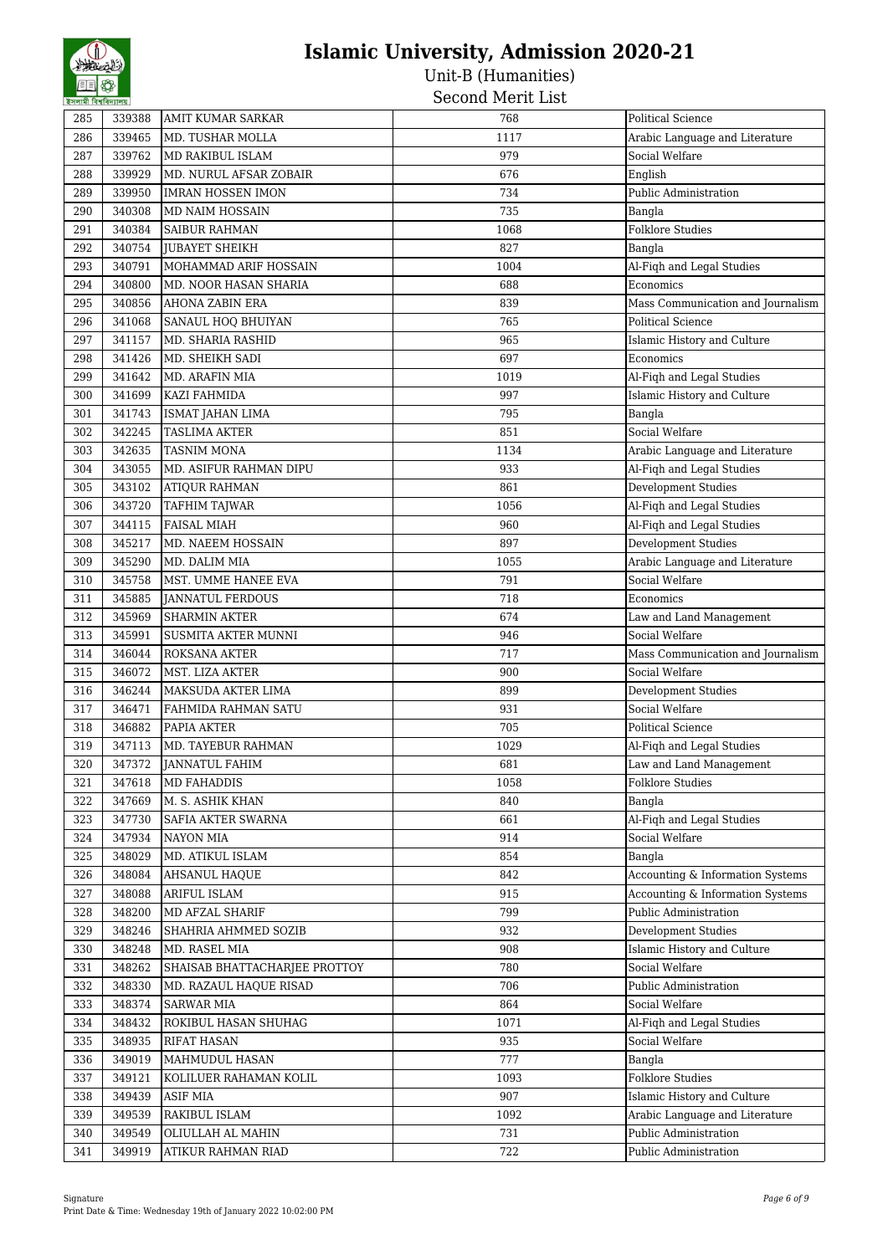| 285 | 339388 | <b>AMIT KUMAR SARKAR</b>      | 768  | <b>Political Science</b>          |
|-----|--------|-------------------------------|------|-----------------------------------|
| 286 | 339465 | MD. TUSHAR MOLLA              | 1117 | Arabic Language and Literature    |
| 287 | 339762 | MD RAKIBUL ISLAM              | 979  | Social Welfare                    |
| 288 | 339929 | MD. NURUL AFSAR ZOBAIR        | 676  | English                           |
| 289 | 339950 | <b>IMRAN HOSSEN IMON</b>      | 734  | Public Administration             |
| 290 | 340308 | MD NAIM HOSSAIN               | 735  | Bangla                            |
| 291 | 340384 | <b>SAIBUR RAHMAN</b>          | 1068 | <b>Folklore Studies</b>           |
| 292 | 340754 | JUBAYET SHEIKH                | 827  | Bangla                            |
| 293 | 340791 | MOHAMMAD ARIF HOSSAIN         | 1004 | Al-Fiqh and Legal Studies         |
| 294 | 340800 | MD. NOOR HASAN SHARIA         | 688  | Economics                         |
| 295 | 340856 | AHONA ZABIN ERA               | 839  | Mass Communication and Journalism |
| 296 | 341068 | SANAUL HOQ BHUIYAN            | 765  | <b>Political Science</b>          |
| 297 | 341157 | MD. SHARIA RASHID             | 965  | Islamic History and Culture       |
| 298 | 341426 | MD. SHEIKH SADI               | 697  | Economics                         |
| 299 | 341642 | MD. ARAFIN MIA                | 1019 | Al-Fiqh and Legal Studies         |
| 300 | 341699 | KAZI FAHMIDA                  | 997  | Islamic History and Culture       |
| 301 | 341743 | ISMAT JAHAN LIMA              | 795  | Bangla                            |
| 302 | 342245 | <b>TASLIMA AKTER</b>          | 851  | Social Welfare                    |
| 303 | 342635 | <b>TASNIM MONA</b>            | 1134 | Arabic Language and Literature    |
| 304 | 343055 | MD. ASIFUR RAHMAN DIPU        | 933  | Al-Fiqh and Legal Studies         |
| 305 | 343102 | <b>ATIQUR RAHMAN</b>          | 861  | Development Studies               |
| 306 | 343720 | TAFHIM TAJWAR                 | 1056 | Al-Fiqh and Legal Studies         |
| 307 | 344115 | <b>FAISAL MIAH</b>            | 960  | Al-Fiqh and Legal Studies         |
| 308 | 345217 | MD. NAEEM HOSSAIN             | 897  | Development Studies               |
| 309 | 345290 | MD. DALIM MIA                 | 1055 | Arabic Language and Literature    |
| 310 | 345758 | MST. UMME HANEE EVA           | 791  | Social Welfare                    |
| 311 | 345885 | <b>JANNATUL FERDOUS</b>       | 718  | Economics                         |
| 312 | 345969 | <b>SHARMIN AKTER</b>          | 674  | Law and Land Management           |
| 313 | 345991 | SUSMITA AKTER MUNNI           | 946  | Social Welfare                    |
| 314 | 346044 | ROKSANA AKTER                 | 717  | Mass Communication and Journalism |
| 315 | 346072 | MST. LIZA AKTER               | 900  | Social Welfare                    |
| 316 | 346244 | MAKSUDA AKTER LIMA            | 899  | Development Studies               |
| 317 | 346471 | FAHMIDA RAHMAN SATU           | 931  | Social Welfare                    |
| 318 | 346882 | PAPIA AKTER                   | 705  | <b>Political Science</b>          |
| 319 | 347113 | MD. TAYEBUR RAHMAN            | 1029 | Al-Fiqh and Legal Studies         |
| 320 | 347372 | JANNATUL FAHIM                | 681  | Law and Land Management           |
| 321 | 347618 | MD FAHADDIS                   | 1058 | <b>Folklore Studies</b>           |
| 322 | 347669 | M. S. ASHIK KHAN              | 840  | Bangla                            |
| 323 | 347730 | SAFIA AKTER SWARNA            | 661  | Al-Fiqh and Legal Studies         |
| 324 | 347934 | NAYON MIA                     | 914  | Social Welfare                    |
| 325 | 348029 | MD. ATIKUL ISLAM              | 854  | Bangla                            |
| 326 | 348084 | AHSANUL HAQUE                 | 842  | Accounting & Information Systems  |
| 327 | 348088 | ARIFUL ISLAM                  | 915  | Accounting & Information Systems  |
| 328 | 348200 | MD AFZAL SHARIF               | 799  | Public Administration             |
| 329 | 348246 | SHAHRIA AHMMED SOZIB          | 932  | <b>Development Studies</b>        |
| 330 | 348248 | MD. RASEL MIA                 | 908  | Islamic History and Culture       |
| 331 | 348262 | SHAISAB BHATTACHARJEE PROTTOY | 780  | Social Welfare                    |
| 332 | 348330 | MD. RAZAUL HAQUE RISAD        | 706  | Public Administration             |
| 333 | 348374 | SARWAR MIA                    | 864  | Social Welfare                    |
| 334 | 348432 | ROKIBUL HASAN SHUHAG          | 1071 | Al-Figh and Legal Studies         |
| 335 | 348935 | RIFAT HASAN                   | 935  | Social Welfare                    |
| 336 | 349019 | MAHMUDUL HASAN                | 777  | Bangla                            |
| 337 | 349121 | KOLILUER RAHAMAN KOLIL        | 1093 | <b>Folklore Studies</b>           |
| 338 | 349439 | <b>ASIF MIA</b>               | 907  | Islamic History and Culture       |
| 339 | 349539 | RAKIBUL ISLAM                 | 1092 | Arabic Language and Literature    |
| 340 | 349549 | OLIULLAH AL MAHIN             | 731  | Public Administration             |
| 341 | 349919 | ATIKUR RAHMAN RIAD            | 722  | Public Administration             |
|     |        |                               |      |                                   |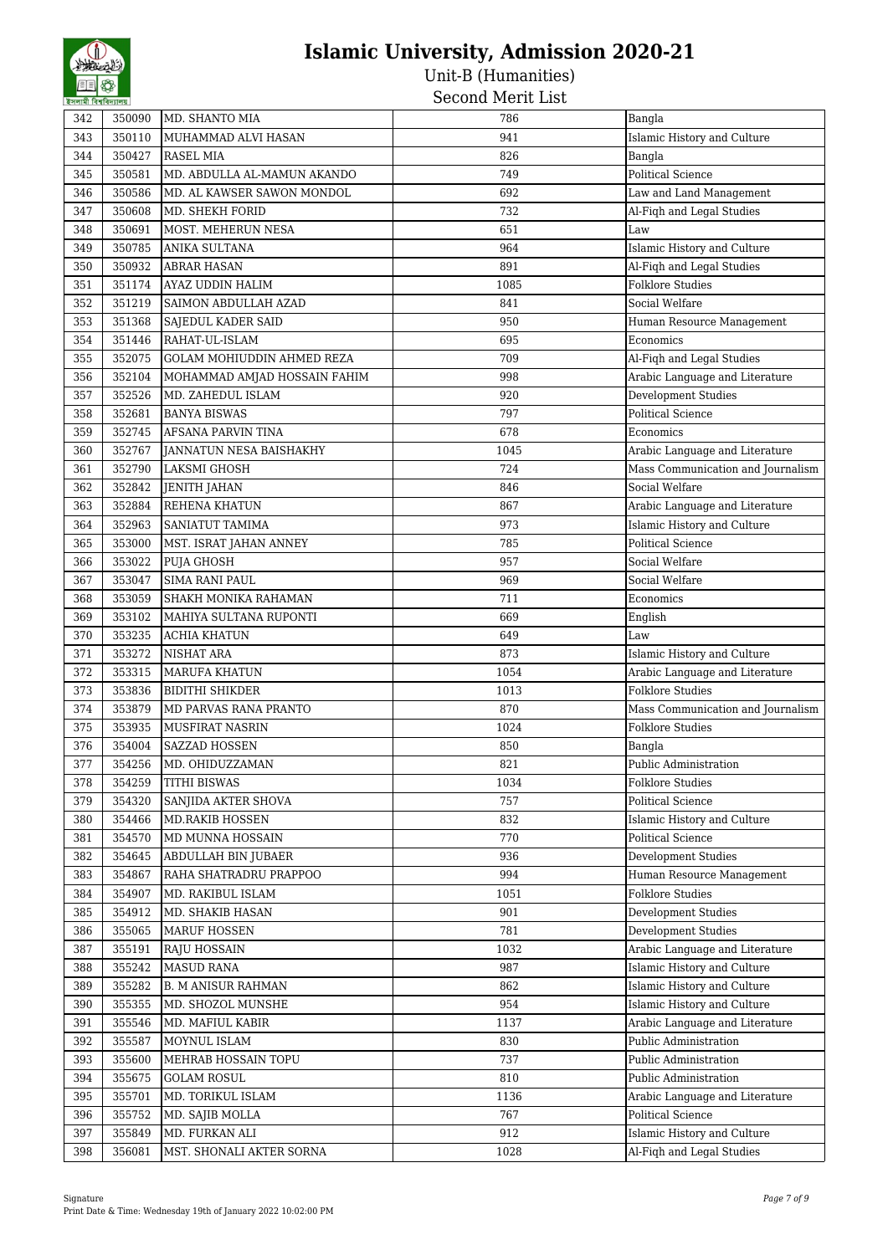| 342 | 350090 | MD. SHANTO MIA               | 786  | Bangla                            |
|-----|--------|------------------------------|------|-----------------------------------|
| 343 | 350110 | MUHAMMAD ALVI HASAN          | 941  | Islamic History and Culture       |
| 344 | 350427 | <b>RASEL MIA</b>             | 826  | Bangla                            |
| 345 | 350581 | MD. ABDULLA AL-MAMUN AKANDO  | 749  | <b>Political Science</b>          |
| 346 | 350586 | MD. AL KAWSER SAWON MONDOL   | 692  | Law and Land Management           |
| 347 | 350608 | MD. SHEKH FORID              | 732  | Al-Fiqh and Legal Studies         |
| 348 | 350691 | MOST. MEHERUN NESA           | 651  | Law                               |
| 349 | 350785 |                              | 964  | Islamic History and Culture       |
|     |        | <b>ANIKA SULTANA</b>         |      |                                   |
| 350 | 350932 | <b>ABRAR HASAN</b>           | 891  | Al-Fiqh and Legal Studies         |
| 351 | 351174 | AYAZ UDDIN HALIM             | 1085 | <b>Folklore Studies</b>           |
| 352 | 351219 | SAIMON ABDULLAH AZAD         | 841  | Social Welfare                    |
| 353 | 351368 | SAJEDUL KADER SAID           | 950  | Human Resource Management         |
| 354 | 351446 | RAHAT-UL-ISLAM               | 695  | Economics                         |
| 355 | 352075 | GOLAM MOHIUDDIN AHMED REZA   | 709  | Al-Fiqh and Legal Studies         |
| 356 | 352104 | MOHAMMAD AMJAD HOSSAIN FAHIM | 998  | Arabic Language and Literature    |
| 357 | 352526 | MD. ZAHEDUL ISLAM            | 920  | Development Studies               |
| 358 | 352681 | <b>BANYA BISWAS</b>          | 797  | <b>Political Science</b>          |
| 359 | 352745 | <b>AFSANA PARVIN TINA</b>    | 678  | Economics                         |
| 360 | 352767 | JANNATUN NESA BAISHAKHY      | 1045 | Arabic Language and Literature    |
| 361 | 352790 | LAKSMI GHOSH                 | 724  | Mass Communication and Journalism |
| 362 | 352842 | <b>JENITH JAHAN</b>          | 846  | Social Welfare                    |
| 363 | 352884 | <b>REHENA KHATUN</b>         | 867  | Arabic Language and Literature    |
| 364 | 352963 | SANIATUT TAMIMA              | 973  | Islamic History and Culture       |
| 365 | 353000 | MST. ISRAT JAHAN ANNEY       | 785  | <b>Political Science</b>          |
| 366 | 353022 | PUJA GHOSH                   | 957  | Social Welfare                    |
| 367 | 353047 | <b>SIMA RANI PAUL</b>        | 969  | Social Welfare                    |
| 368 | 353059 | SHAKH MONIKA RAHAMAN         | 711  | Economics                         |
| 369 | 353102 | MAHIYA SULTANA RUPONTI       | 669  | English                           |
| 370 | 353235 | <b>ACHIA KHATUN</b>          | 649  | Law                               |
| 371 | 353272 | NISHAT ARA                   | 873  | Islamic History and Culture       |
| 372 | 353315 | <b>MARUFA KHATUN</b>         | 1054 | Arabic Language and Literature    |
| 373 | 353836 | <b>BIDITHI SHIKDER</b>       | 1013 | <b>Folklore Studies</b>           |
| 374 | 353879 | MD PARVAS RANA PRANTO        | 870  | Mass Communication and Journalism |
| 375 | 353935 | <b>MUSFIRAT NASRIN</b>       | 1024 | <b>Folklore Studies</b>           |
|     |        |                              |      |                                   |
| 376 | 354004 | <b>SAZZAD HOSSEN</b>         | 850  | Bangla                            |
| 377 | 354256 | MD. OHIDUZZAMAN              | 821  | Public Administration             |
| 378 | 354259 | <b>TITHI BISWAS</b>          | 1034 | <b>Folklore Studies</b>           |
| 379 | 354320 | SANJIDA AKTER SHOVA          | 757  | Political Science                 |
| 380 | 354466 | MD.RAKIB HOSSEN              | 832  | Islamic History and Culture       |
| 381 | 354570 | MD MUNNA HOSSAIN             | 770  | Political Science                 |
| 382 | 354645 | ABDULLAH BIN JUBAER          | 936  | <b>Development Studies</b>        |
| 383 | 354867 | RAHA SHATRADRU PRAPPOO       | 994  | Human Resource Management         |
| 384 | 354907 | MD. RAKIBUL ISLAM            | 1051 | <b>Folklore Studies</b>           |
| 385 | 354912 | MD. SHAKIB HASAN             | 901  | <b>Development Studies</b>        |
| 386 | 355065 | MARUF HOSSEN                 | 781  | Development Studies               |
| 387 | 355191 | RAJU HOSSAIN                 | 1032 | Arabic Language and Literature    |
| 388 | 355242 | <b>MASUD RANA</b>            | 987  | Islamic History and Culture       |
| 389 | 355282 | <b>B. M ANISUR RAHMAN</b>    | 862  | Islamic History and Culture       |
| 390 | 355355 | MD. SHOZOL MUNSHE            | 954  | Islamic History and Culture       |
| 391 | 355546 | MD. MAFIUL KABIR             | 1137 | Arabic Language and Literature    |
| 392 | 355587 | MOYNUL ISLAM                 | 830  | Public Administration             |
| 393 | 355600 | MEHRAB HOSSAIN TOPU          | 737  | Public Administration             |
| 394 | 355675 | <b>GOLAM ROSUL</b>           | 810  | Public Administration             |
| 395 | 355701 | MD. TORIKUL ISLAM            | 1136 | Arabic Language and Literature    |
| 396 | 355752 | MD. SAJIB MOLLA              | 767  | Political Science                 |
| 397 | 355849 | MD. FURKAN ALI               | 912  | Islamic History and Culture       |
| 398 | 356081 | MST. SHONALI AKTER SORNA     | 1028 | Al-Fiqh and Legal Studies         |
|     |        |                              |      |                                   |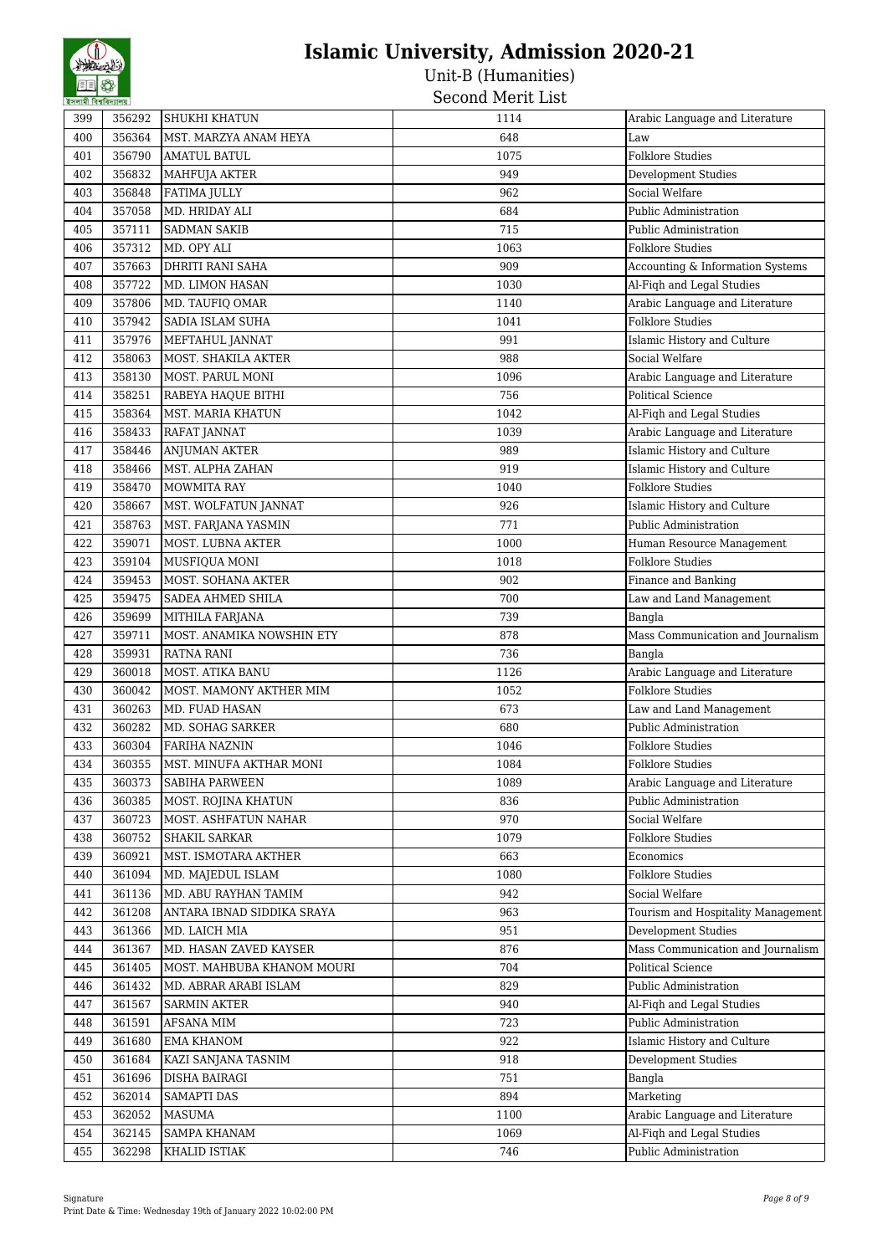| হসলামা বিশ্বাবদ্যালয় |        |                            |      |                                    |
|-----------------------|--------|----------------------------|------|------------------------------------|
| 399                   | 356292 | <b>SHUKHI KHATUN</b>       | 1114 | Arabic Language and Literature     |
| 400                   | 356364 | MST. MARZYA ANAM HEYA      | 648  | Law                                |
| 401                   | 356790 | <b>AMATUL BATUL</b>        | 1075 | <b>Folklore Studies</b>            |
| 402                   | 356832 | MAHFUJA AKTER              | 949  | Development Studies                |
| 403                   | 356848 | <b>FATIMA JULLY</b>        | 962  | Social Welfare                     |
| 404                   | 357058 | MD. HRIDAY ALI             | 684  | Public Administration              |
| 405                   | 357111 | <b>SADMAN SAKIB</b>        | 715  | Public Administration              |
| 406                   | 357312 | MD. OPY ALI                | 1063 | <b>Folklore Studies</b>            |
| 407                   | 357663 | DHRITI RANI SAHA           | 909  | Accounting & Information Systems   |
| 408                   | 357722 | MD. LIMON HASAN            | 1030 | Al-Fiqh and Legal Studies          |
| 409                   | 357806 | MD. TAUFIQ OMAR            | 1140 | Arabic Language and Literature     |
| 410                   | 357942 | SADIA ISLAM SUHA           | 1041 | <b>Folklore Studies</b>            |
| 411                   | 357976 | MEFTAHUL JANNAT            | 991  | Islamic History and Culture        |
| 412                   | 358063 | MOST. SHAKILA AKTER        | 988  | Social Welfare                     |
| 413                   | 358130 | MOST. PARUL MONI           | 1096 | Arabic Language and Literature     |
| 414                   | 358251 | RABEYA HAQUE BITHI         | 756  | <b>Political Science</b>           |
| 415                   | 358364 | MST. MARIA KHATUN          | 1042 | Al-Fiqh and Legal Studies          |
| 416                   | 358433 | RAFAT JANNAT               | 1039 | Arabic Language and Literature     |
| 417                   | 358446 | <b>ANJUMAN AKTER</b>       | 989  | Islamic History and Culture        |
| 418                   | 358466 | MST. ALPHA ZAHAN           | 919  | Islamic History and Culture        |
| 419                   | 358470 | MOWMITA RAY                | 1040 | <b>Folklore Studies</b>            |
| 420                   | 358667 | MST. WOLFATUN JANNAT       | 926  | Islamic History and Culture        |
| 421                   | 358763 | MST. FARJANA YASMIN        | 771  | Public Administration              |
| 422                   | 359071 | MOST. LUBNA AKTER          | 1000 | Human Resource Management          |
| 423                   | 359104 | MUSFIQUA MONI              | 1018 | <b>Folklore Studies</b>            |
| 424                   | 359453 | MOST. SOHANA AKTER         | 902  | Finance and Banking                |
| 425                   | 359475 | SADEA AHMED SHILA          | 700  | Law and Land Management            |
| 426                   | 359699 | MITHILA FARJANA            | 739  | Bangla                             |
| 427                   | 359711 | MOST. ANAMIKA NOWSHIN ETY  | 878  | Mass Communication and Journalism  |
| 428                   | 359931 | <b>RATNA RANI</b>          | 736  | Bangla                             |
| 429                   | 360018 | MOST. ATIKA BANU           | 1126 | Arabic Language and Literature     |
| 430                   | 360042 | MOST. MAMONY AKTHER MIM    | 1052 | <b>Folklore Studies</b>            |
| 431                   | 360263 | MD. FUAD HASAN             | 673  | Law and Land Management            |
| 432                   | 360282 | MD. SOHAG SARKER           | 680  | Public Administration              |
| 433                   | 360304 | <b>FARIHA NAZNIN</b>       | 1046 | <b>Folklore Studies</b>            |
| 434                   | 360355 | MST. MINUFA AKTHAR MONI    | 1084 | <b>Folklore Studies</b>            |
| 435                   | 360373 | <b>SABIHA PARWEEN</b>      | 1089 | Arabic Language and Literature     |
| 436                   | 360385 | MOST. ROJINA KHATUN        | 836  | Public Administration              |
| 437                   | 360723 | MOST. ASHFATUN NAHAR       | 970  | Social Welfare                     |
| 438                   | 360752 | <b>SHAKIL SARKAR</b>       | 1079 | <b>Folklore Studies</b>            |
| 439                   | 360921 | MST. ISMOTARA AKTHER       | 663  | Economics                          |
| 440                   | 361094 | MD. MAJEDUL ISLAM          | 1080 | <b>Folklore Studies</b>            |
| 441                   | 361136 | MD. ABU RAYHAN TAMIM       | 942  | Social Welfare                     |
| 442                   | 361208 | ANTARA IBNAD SIDDIKA SRAYA | 963  | Tourism and Hospitality Management |
| 443                   | 361366 | MD. LAICH MIA              | 951  | <b>Development Studies</b>         |
| 444                   | 361367 | MD. HASAN ZAVED KAYSER     | 876  | Mass Communication and Journalism  |
| 445                   | 361405 | MOST. MAHBUBA KHANOM MOURI | 704  | Political Science                  |
| 446                   | 361432 | MD. ABRAR ARABI ISLAM      | 829  | Public Administration              |
| 447                   | 361567 | <b>SARMIN AKTER</b>        | 940  | Al-Fiqh and Legal Studies          |
| 448                   | 361591 | AFSANA MIM                 | 723  | Public Administration              |
| 449                   | 361680 | <b>EMA KHANOM</b>          | 922  | Islamic History and Culture        |
| 450                   | 361684 | KAZI SANJANA TASNIM        | 918  | <b>Development Studies</b>         |
| 451                   | 361696 | DISHA BAIRAGI              | 751  | Bangla                             |
| 452                   | 362014 | <b>SAMAPTI DAS</b>         | 894  | Marketing                          |
| 453                   | 362052 | <b>MASUMA</b>              | 1100 | Arabic Language and Literature     |
| 454                   | 362145 | <b>SAMPA KHANAM</b>        | 1069 | Al-Fiqh and Legal Studies          |
| 455                   | 362298 | KHALID ISTIAK              | 746  | Public Administration              |
|                       |        |                            |      |                                    |